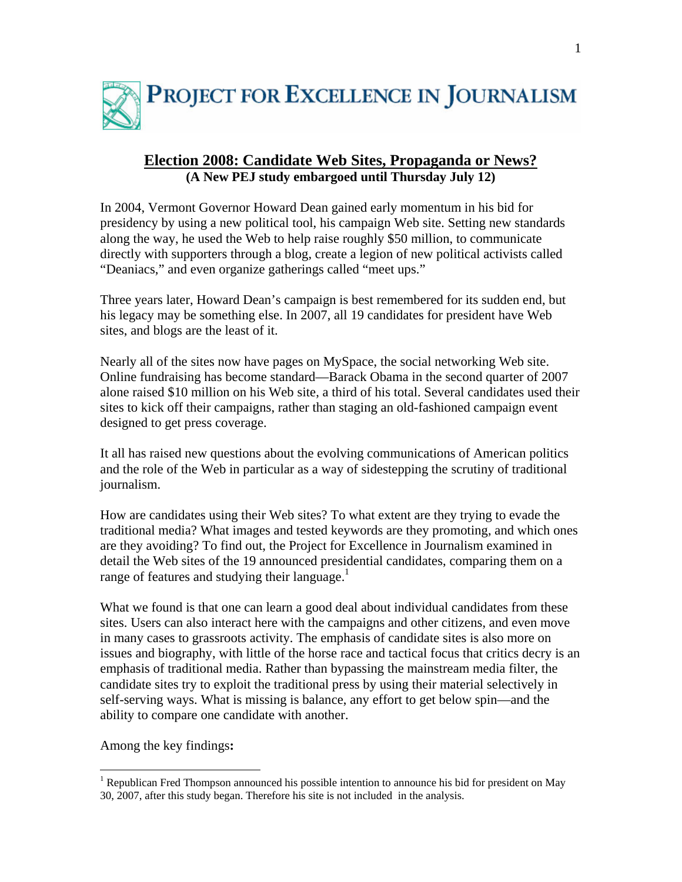

# **Election 2008: Candidate Web Sites, Propaganda or News? (A New PEJ study embargoed until Thursday July 12)**

In 2004, Vermont Governor Howard Dean gained early momentum in his bid for presidency by using a new political tool, his campaign Web site. Setting new standards along the way, he used the Web to help raise roughly \$50 million, to communicate directly with supporters through a blog, create a legion of new political activists called "Deaniacs," and even organize gatherings called "meet ups."

Three years later, Howard Dean's campaign is best remembered for its sudden end, but his legacy may be something else. In 2007, all 19 candidates for president have Web sites, and blogs are the least of it.

Nearly all of the sites now have pages on MySpace, the social networking Web site. Online fundraising has become standard—Barack Obama in the second quarter of 2007 alone raised \$10 million on his Web site, a third of his total. Several candidates used their sites to kick off their campaigns, rather than staging an old-fashioned campaign event designed to get press coverage.

It all has raised new questions about the evolving communications of American politics and the role of the Web in particular as a way of sidestepping the scrutiny of traditional journalism.

How are candidates using their Web sites? To what extent are they trying to evade the traditional media? What images and tested keywords are they promoting, and which ones are they avoiding? To find out, the Project for Excellence in Journalism examined in detail the Web sites of the 19 announced presidential candidates, comparing them on a range of features and studying their language.<sup>1</sup>

What we found is that one can learn a good deal about individual candidates from these sites. Users can also interact here with the campaigns and other citizens, and even move in many cases to grassroots activity. The emphasis of candidate sites is also more on issues and biography, with little of the horse race and tactical focus that critics decry is an emphasis of traditional media. Rather than bypassing the mainstream media filter, the candidate sites try to exploit the traditional press by using their material selectively in self-serving ways. What is missing is balance, any effort to get below spin—and the ability to compare one candidate with another.

Among the key findings**:** 

1

<sup>&</sup>lt;sup>1</sup> Republican Fred Thompson announced his possible intention to announce his bid for president on May 30, 2007, after this study began. Therefore his site is not included in the analysis.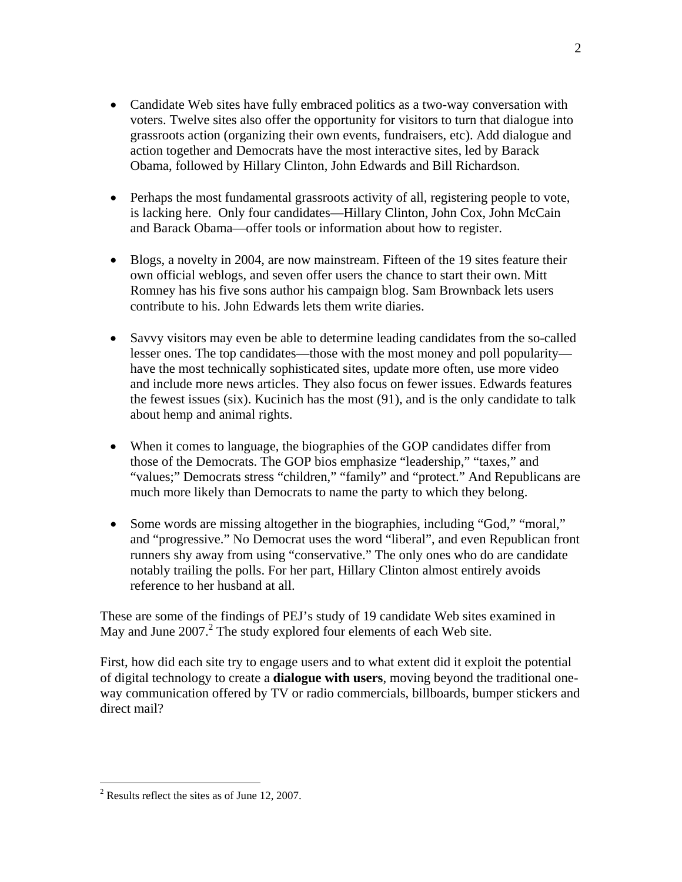- Candidate Web sites have fully embraced politics as a two-way conversation with voters. Twelve sites also offer the opportunity for visitors to turn that dialogue into grassroots action (organizing their own events, fundraisers, etc). Add dialogue and action together and Democrats have the most interactive sites, led by Barack Obama, followed by Hillary Clinton, John Edwards and Bill Richardson.
- Perhaps the most fundamental grassroots activity of all, registering people to vote, is lacking here. Only four candidates—Hillary Clinton, John Cox, John McCain and Barack Obama—offer tools or information about how to register.
- Blogs, a novelty in 2004, are now mainstream. Fifteen of the 19 sites feature their own official weblogs, and seven offer users the chance to start their own. Mitt Romney has his five sons author his campaign blog. Sam Brownback lets users contribute to his. John Edwards lets them write diaries.
- Savvy visitors may even be able to determine leading candidates from the so-called lesser ones. The top candidates—those with the most money and poll popularity have the most technically sophisticated sites, update more often, use more video and include more news articles. They also focus on fewer issues. Edwards features the fewest issues (six). Kucinich has the most (91), and is the only candidate to talk about hemp and animal rights.
- When it comes to language, the biographies of the GOP candidates differ from those of the Democrats. The GOP bios emphasize "leadership," "taxes," and "values;" Democrats stress "children," "family" and "protect." And Republicans are much more likely than Democrats to name the party to which they belong.
- Some words are missing altogether in the biographies, including "God," "moral," and "progressive." No Democrat uses the word "liberal", and even Republican front runners shy away from using "conservative." The only ones who do are candidate notably trailing the polls. For her part, Hillary Clinton almost entirely avoids reference to her husband at all.

These are some of the findings of PEJ's study of 19 candidate Web sites examined in May and June  $2007$ .<sup>2</sup> The study explored four elements of each Web site.

First, how did each site try to engage users and to what extent did it exploit the potential of digital technology to create a **dialogue with users**, moving beyond the traditional oneway communication offered by TV or radio commercials, billboards, bumper stickers and direct mail?

2

 $\overline{a}$ 

 $2^2$  Results reflect the sites as of June 12, 2007.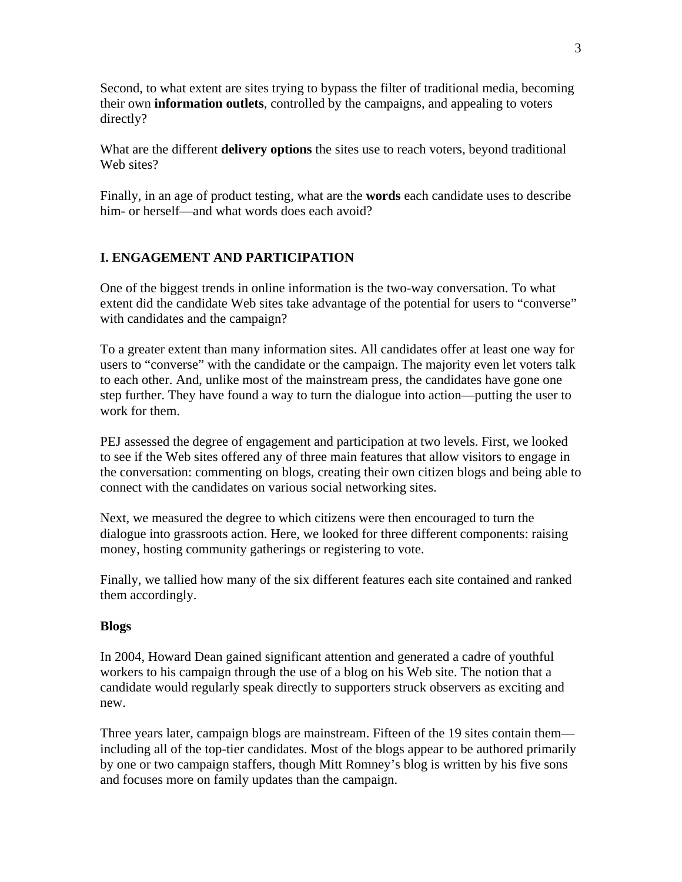Second, to what extent are sites trying to bypass the filter of traditional media, becoming their own **information outlets**, controlled by the campaigns, and appealing to voters directly?

What are the different **delivery options** the sites use to reach voters, beyond traditional Web sites?

Finally, in an age of product testing, what are the **words** each candidate uses to describe him- or herself—and what words does each avoid?

# **I. ENGAGEMENT AND PARTICIPATION**

One of the biggest trends in online information is the two-way conversation. To what extent did the candidate Web sites take advantage of the potential for users to "converse" with candidates and the campaign?

To a greater extent than many information sites. All candidates offer at least one way for users to "converse" with the candidate or the campaign. The majority even let voters talk to each other. And, unlike most of the mainstream press, the candidates have gone one step further. They have found a way to turn the dialogue into action—putting the user to work for them.

PEJ assessed the degree of engagement and participation at two levels. First, we looked to see if the Web sites offered any of three main features that allow visitors to engage in the conversation: commenting on blogs, creating their own citizen blogs and being able to connect with the candidates on various social networking sites.

Next, we measured the degree to which citizens were then encouraged to turn the dialogue into grassroots action. Here, we looked for three different components: raising money, hosting community gatherings or registering to vote.

Finally, we tallied how many of the six different features each site contained and ranked them accordingly.

#### **Blogs**

In 2004, Howard Dean gained significant attention and generated a cadre of youthful workers to his campaign through the use of a blog on his Web site. The notion that a candidate would regularly speak directly to supporters struck observers as exciting and new.

Three years later, campaign blogs are mainstream. Fifteen of the 19 sites contain them including all of the top-tier candidates. Most of the blogs appear to be authored primarily by one or two campaign staffers, though Mitt Romney's blog is written by his five sons and focuses more on family updates than the campaign.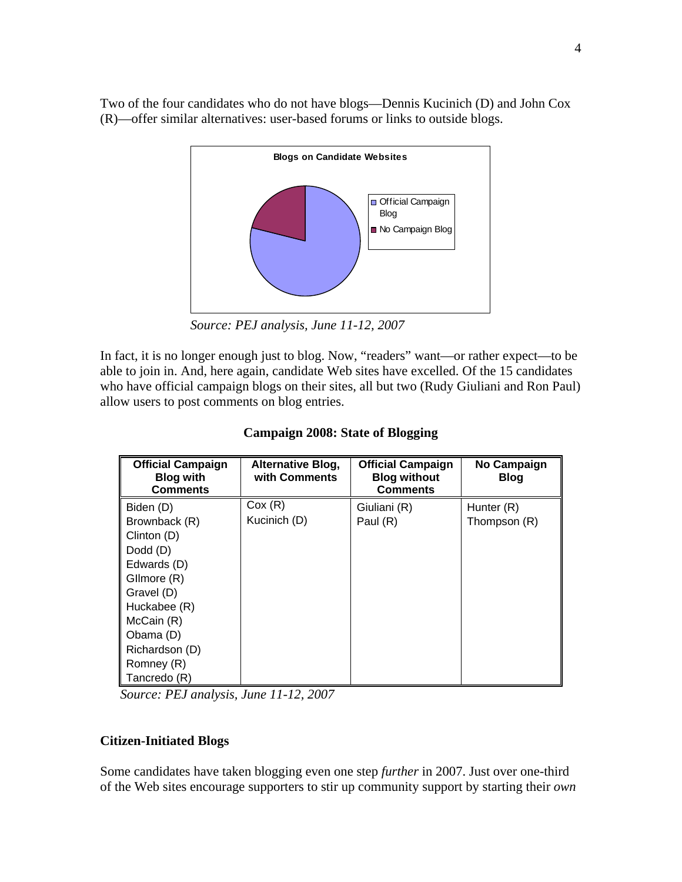Two of the four candidates who do not have blogs—Dennis Kucinich (D) and John Cox (R)—offer similar alternatives: user-based forums or links to outside blogs.



*Source: PEJ analysis, June 11-12, 2007* 

In fact, it is no longer enough just to blog. Now, "readers" want—or rather expect—to be able to join in. And, here again, candidate Web sites have excelled. Of the 15 candidates who have official campaign blogs on their sites, all but two (Rudy Giuliani and Ron Paul) allow users to post comments on blog entries.

| <b>Official Campaign</b><br><b>Blog with</b><br><b>Comments</b> | <b>Alternative Blog,</b><br>with Comments | <b>Official Campaign</b><br><b>Blog without</b><br><b>Comments</b> | <b>No Campaign</b><br><b>Blog</b> |
|-----------------------------------------------------------------|-------------------------------------------|--------------------------------------------------------------------|-----------------------------------|
| Biden (D)                                                       | Cox(R)                                    | Giuliani (R)                                                       | Hunter (R)                        |
| Brownback (R)                                                   | Kucinich (D)                              | Paul (R)                                                           | Thompson (R)                      |
| Clinton (D)                                                     |                                           |                                                                    |                                   |
| Dodd (D)                                                        |                                           |                                                                    |                                   |
| Edwards (D)                                                     |                                           |                                                                    |                                   |
| Gllmore (R)                                                     |                                           |                                                                    |                                   |
| Gravel (D)                                                      |                                           |                                                                    |                                   |
| Huckabee (R)                                                    |                                           |                                                                    |                                   |
| McCain (R)                                                      |                                           |                                                                    |                                   |
| Obama (D)                                                       |                                           |                                                                    |                                   |
| Richardson (D)                                                  |                                           |                                                                    |                                   |
| Romney (R)                                                      |                                           |                                                                    |                                   |
| Tancredo (R)                                                    |                                           |                                                                    |                                   |

# **Campaign 2008: State of Blogging**

*Source: PEJ analysis, June 11-12, 2007* 

# **Citizen-Initiated Blogs**

Some candidates have taken blogging even one step *further* in 2007. Just over one-third of the Web sites encourage supporters to stir up community support by starting their *own*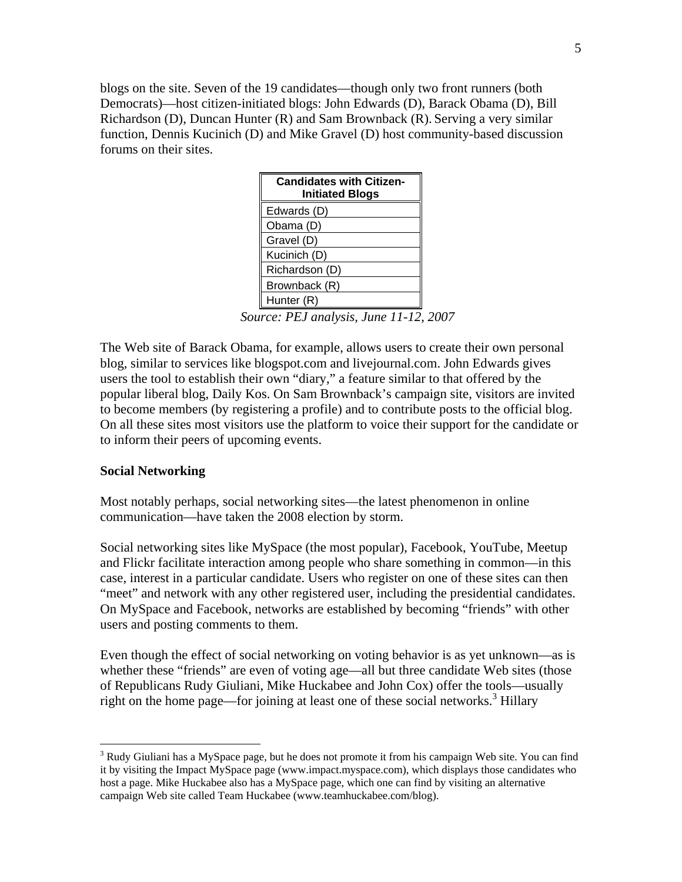blogs on the site. Seven of the 19 candidates—though only two front runners (both Democrats)—host citizen-initiated blogs: John Edwards (D), Barack Obama (D), Bill Richardson (D), Duncan Hunter (R) and Sam Brownback (R). Serving a very similar function, Dennis Kucinich (D) and Mike Gravel (D) host community-based discussion forums on their sites.

| <b>Candidates with Citizen-</b><br><b>Initiated Blogs</b> |
|-----------------------------------------------------------|
| Edwards (D)                                               |
| Obama (D)                                                 |
| Gravel (D)                                                |
| Kucinich (D)                                              |
| Richardson (D)                                            |
| Brownback (R)                                             |
| Hunter (R)                                                |
|                                                           |

*Source: PEJ analysis, June 11-12, 2007* 

The Web site of Barack Obama, for example, allows users to create their own personal blog, similar to services like blogspot.com and livejournal.com. John Edwards gives users the tool to establish their own "diary," a feature similar to that offered by the popular liberal blog, Daily Kos. On Sam Brownback's campaign site, visitors are invited to become members (by registering a profile) and to contribute posts to the official blog. On all these sites most visitors use the platform to voice their support for the candidate or to inform their peers of upcoming events.

#### **Social Networking**

 $\overline{a}$ 

Most notably perhaps, social networking sites—the latest phenomenon in online communication—have taken the 2008 election by storm.

Social networking sites like MySpace (the most popular), Facebook, YouTube, Meetup and Flickr facilitate interaction among people who share something in common—in this case, interest in a particular candidate. Users who register on one of these sites can then "meet" and network with any other registered user, including the presidential candidates. On MySpace and Facebook, networks are established by becoming "friends" with other users and posting comments to them.

Even though the effect of social networking on voting behavior is as yet unknown—as is whether these "friends" are even of voting age—all but three candidate Web sites (those of Republicans Rudy Giuliani, Mike Huckabee and John Cox) offer the tools—usually right on the home page—for joining at least one of these social networks.<sup>3</sup> Hillary

<sup>&</sup>lt;sup>3</sup> Rudy Giuliani has a MySpace page, but he does not promote it from his campaign Web site. You can find it by visiting the Impact MySpace page (www.impact.myspace.com), which displays those candidates who host a page. Mike Huckabee also has a MySpace page, which one can find by visiting an alternative campaign Web site called Team Huckabee (www.teamhuckabee.com/blog).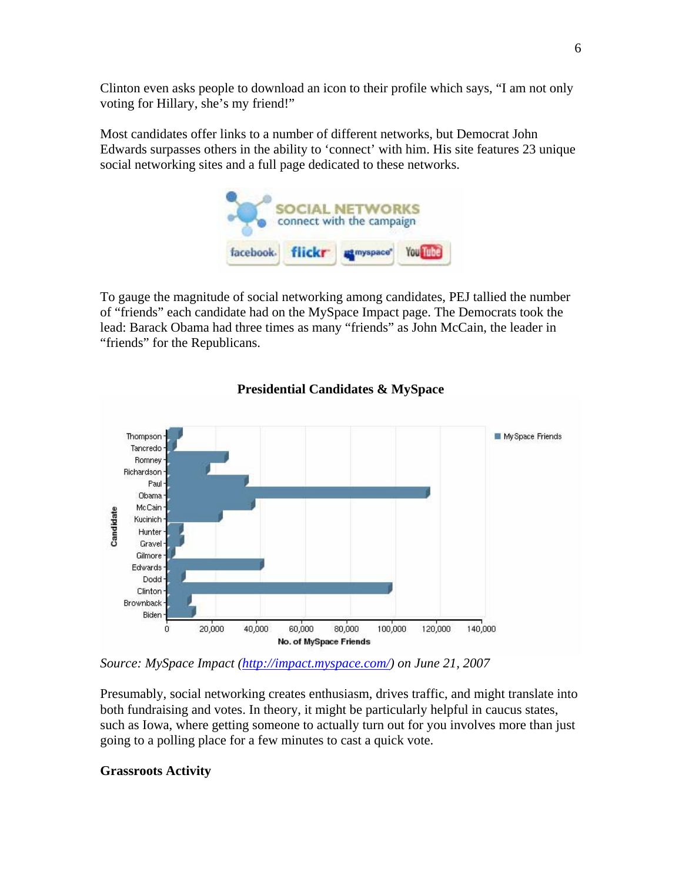Clinton even asks people to download an icon to their profile which says, "I am not only voting for Hillary, she's my friend!"

Most candidates offer links to a number of different networks, but Democrat John Edwards surpasses others in the ability to 'connect' with him. His site features 23 unique social networking sites and a full page dedicated to these networks.



To gauge the magnitude of social networking among candidates, PEJ tallied the number of "friends" each candidate had on the MySpace Impact page. The Democrats took the lead: Barack Obama had three times as many "friends" as John McCain, the leader in "friends" for the Republicans.



# **Presidential Candidates & MySpace**

*Source: MySpace Impact (http://impact.myspace.com/) on June 21, 2007* 

Presumably, social networking creates enthusiasm, drives traffic, and might translate into both fundraising and votes. In theory, it might be particularly helpful in caucus states, such as Iowa, where getting someone to actually turn out for you involves more than just going to a polling place for a few minutes to cast a quick vote.

# **Grassroots Activity**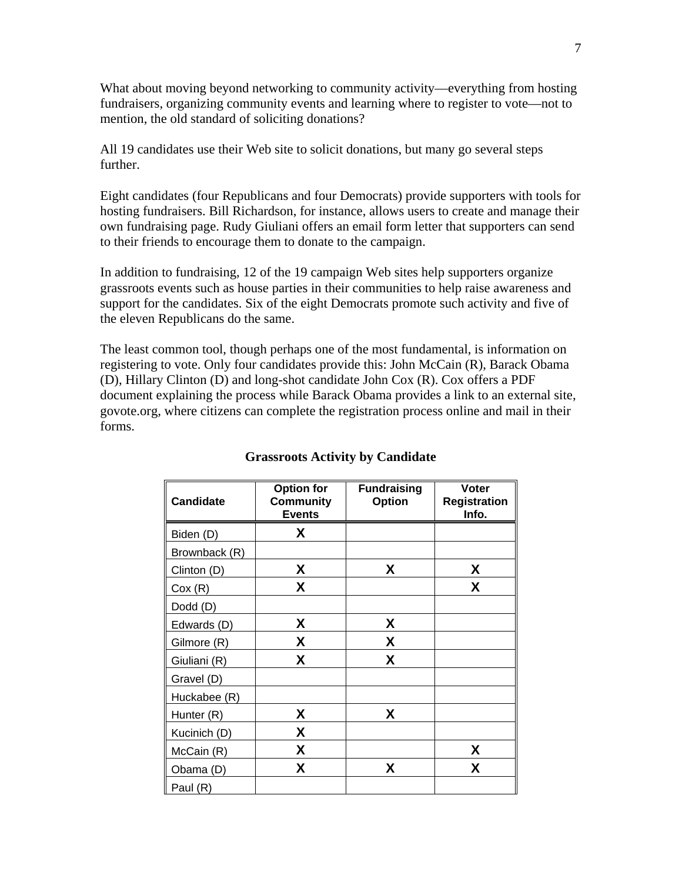What about moving beyond networking to community activity—everything from hosting fundraisers, organizing community events and learning where to register to vote—not to mention, the old standard of soliciting donations?

All 19 candidates use their Web site to solicit donations, but many go several steps further.

Eight candidates (four Republicans and four Democrats) provide supporters with tools for hosting fundraisers. Bill Richardson, for instance, allows users to create and manage their own fundraising page. Rudy Giuliani offers an email form letter that supporters can send to their friends to encourage them to donate to the campaign.

In addition to fundraising, 12 of the 19 campaign Web sites help supporters organize grassroots events such as house parties in their communities to help raise awareness and support for the candidates. Six of the eight Democrats promote such activity and five of the eleven Republicans do the same.

The least common tool, though perhaps one of the most fundamental, is information on registering to vote. Only four candidates provide this: John McCain (R), Barack Obama (D), Hillary Clinton (D) and long-shot candidate John Cox (R). Cox offers a PDF document explaining the process while Barack Obama provides a link to an external site, govote.org, where citizens can complete the registration process online and mail in their forms.

| <b>Candidate</b> | <b>Option for</b><br><b>Fundraising</b><br><b>Voter</b><br><b>Community</b><br><b>Option</b><br><b>Events</b><br>Info. |   | <b>Registration</b> |
|------------------|------------------------------------------------------------------------------------------------------------------------|---|---------------------|
| Biden (D)        | X                                                                                                                      |   |                     |
| Brownback (R)    |                                                                                                                        |   |                     |
| Clinton (D)      | X                                                                                                                      | X | X                   |
| Cox(R)           | X                                                                                                                      |   | X                   |
| Dodd (D)         |                                                                                                                        |   |                     |
| Edwards (D)      | X                                                                                                                      | X |                     |
| Gilmore (R)      | X                                                                                                                      | X |                     |
| Giuliani (R)     | X                                                                                                                      | X |                     |
| Gravel (D)       |                                                                                                                        |   |                     |
| Huckabee (R)     |                                                                                                                        |   |                     |
| Hunter (R)       | X                                                                                                                      | X |                     |
| Kucinich (D)     | X                                                                                                                      |   |                     |
| McCain (R)       | X                                                                                                                      |   | X                   |
| Obama (D)        | X                                                                                                                      | X | X                   |
| Paul (R)         |                                                                                                                        |   |                     |

# **Grassroots Activity by Candidate**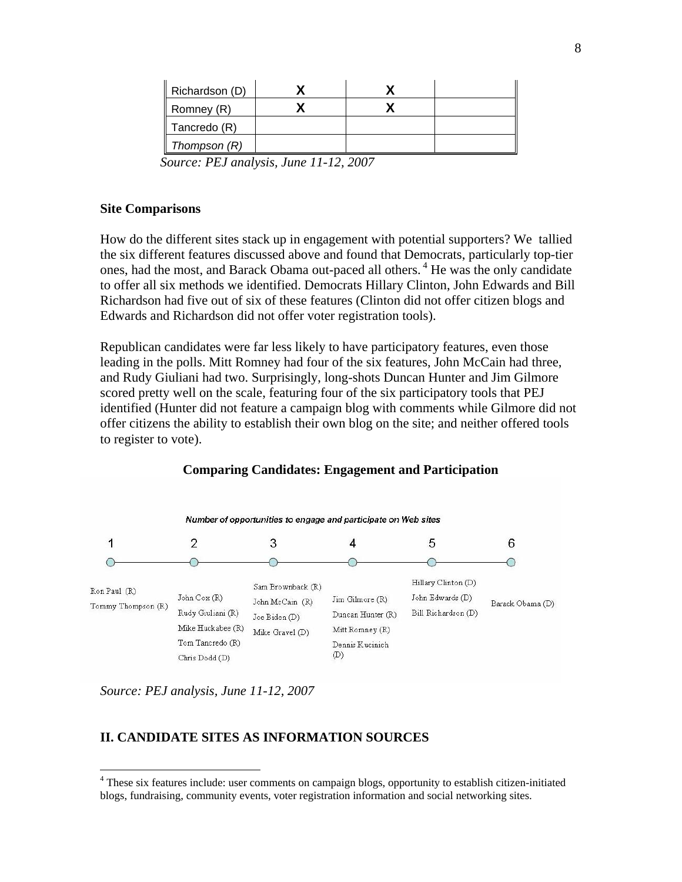| Richardson (D) |  |  |
|----------------|--|--|
| Romney (R)     |  |  |
| Tancredo (R)   |  |  |
| Thompson (R)   |  |  |

*Source: PEJ analysis, June 11-12, 2007* 

#### **Site Comparisons**

How do the different sites stack up in engagement with potential supporters? We tallied the six different features discussed above and found that Democrats, particularly top-tier ones, had the most, and Barack Obama out-paced all others.<sup>4</sup> He was the only candidate to offer all six methods we identified. Democrats Hillary Clinton, John Edwards and Bill Richardson had five out of six of these features (Clinton did not offer citizen blogs and Edwards and Richardson did not offer voter registration tools).

Republican candidates were far less likely to have participatory features, even those leading in the polls. Mitt Romney had four of the six features, John McCain had three, and Rudy Giuliani had two. Surprisingly, long-shots Duncan Hunter and Jim Gilmore scored pretty well on the scale, featuring four of the six participatory tools that PEJ identified (Hunter did not feature a campaign blog with comments while Gilmore did not offer citizens the ability to establish their own blog on the site; and neither offered tools to register to vote).



**Comparing Candidates: Engagement and Participation** 

*Source: PEJ analysis, June 11-12, 2007* 

1

# **II. CANDIDATE SITES AS INFORMATION SOURCES**

<sup>&</sup>lt;sup>4</sup> These six features include: user comments on campaign blogs, opportunity to establish citizen-initiated blogs, fundraising, community events, voter registration information and social networking sites.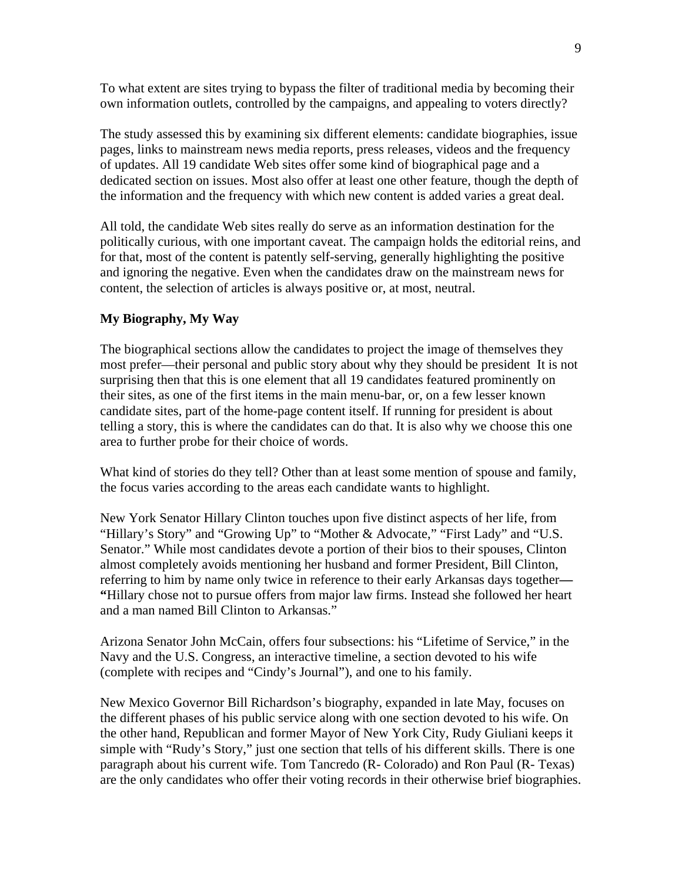To what extent are sites trying to bypass the filter of traditional media by becoming their own information outlets, controlled by the campaigns, and appealing to voters directly?

The study assessed this by examining six different elements: candidate biographies, issue pages, links to mainstream news media reports, press releases, videos and the frequency of updates. All 19 candidate Web sites offer some kind of biographical page and a dedicated section on issues. Most also offer at least one other feature, though the depth of the information and the frequency with which new content is added varies a great deal.

All told, the candidate Web sites really do serve as an information destination for the politically curious, with one important caveat. The campaign holds the editorial reins, and for that, most of the content is patently self-serving, generally highlighting the positive and ignoring the negative. Even when the candidates draw on the mainstream news for content, the selection of articles is always positive or, at most, neutral.

#### **My Biography, My Way**

The biographical sections allow the candidates to project the image of themselves they most prefer—their personal and public story about why they should be president It is not surprising then that this is one element that all 19 candidates featured prominently on their sites, as one of the first items in the main menu-bar, or, on a few lesser known candidate sites, part of the home-page content itself. If running for president is about telling a story, this is where the candidates can do that. It is also why we choose this one area to further probe for their choice of words.

What kind of stories do they tell? Other than at least some mention of spouse and family, the focus varies according to the areas each candidate wants to highlight.

New York Senator Hillary Clinton touches upon five distinct aspects of her life, from "Hillary's Story" and "Growing Up" to "Mother & Advocate," "First Lady" and "U.S. Senator." While most candidates devote a portion of their bios to their spouses, Clinton almost completely avoids mentioning her husband and former President, Bill Clinton, referring to him by name only twice in reference to their early Arkansas days together**— "**Hillary chose not to pursue offers from major law firms. Instead she followed her heart and a man named Bill Clinton to Arkansas."

Arizona Senator John McCain, offers four subsections: his "Lifetime of Service," in the Navy and the U.S. Congress, an interactive timeline, a section devoted to his wife (complete with recipes and "Cindy's Journal"), and one to his family.

New Mexico Governor Bill Richardson's biography, expanded in late May, focuses on the different phases of his public service along with one section devoted to his wife. On the other hand, Republican and former Mayor of New York City, Rudy Giuliani keeps it simple with "Rudy's Story," just one section that tells of his different skills. There is one paragraph about his current wife. Tom Tancredo (R- Colorado) and Ron Paul (R- Texas) are the only candidates who offer their voting records in their otherwise brief biographies.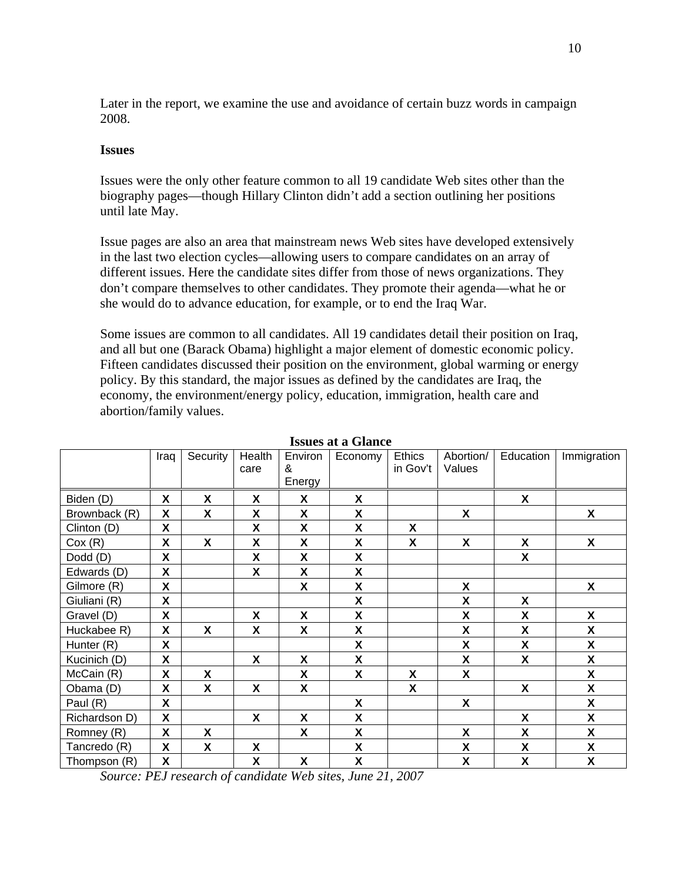Later in the report, we examine the use and avoidance of certain buzz words in campaign 2008.

### **Issues**

Issues were the only other feature common to all 19 candidate Web sites other than the biography pages—though Hillary Clinton didn't add a section outlining her positions until late May.

Issue pages are also an area that mainstream news Web sites have developed extensively in the last two election cycles—allowing users to compare candidates on an array of different issues. Here the candidate sites differ from those of news organizations. They don't compare themselves to other candidates. They promote their agenda—what he or she would do to advance education, for example, or to end the Iraq War.

Some issues are common to all candidates. All 19 candidates detail their position on Iraq, and all but one (Barack Obama) highlight a major element of domestic economic policy. Fifteen candidates discussed their position on the environment, global warming or energy policy. By this standard, the major issues as defined by the candidates are Iraq, the economy, the environment/energy policy, education, immigration, health care and abortion/family values.

|               | Iraq | Security | Health | Environ | 1550C5 at a Ulalite<br>Economy | <b>Ethics</b>      | Abortion/ | Education                 | Immigration               |
|---------------|------|----------|--------|---------|--------------------------------|--------------------|-----------|---------------------------|---------------------------|
|               |      |          | care   | &       |                                | in Gov't           | Values    |                           |                           |
|               |      |          |        |         |                                |                    |           |                           |                           |
|               |      |          |        | Energy  |                                |                    |           |                           |                           |
| Biden (D)     | X    | X        | X      | X       | X                              |                    |           | X                         |                           |
| Brownback (R) | X    | X        | X      | X       | X                              |                    | X         |                           | X                         |
| Clinton (D)   | X    |          | X      | X       | X                              | X                  |           |                           |                           |
| Cox(R)        | X    | X        | X      | X       | X                              | X                  | X         | X                         | X                         |
| Dodd (D)      | X    |          | X      | X       | X                              |                    |           | X                         |                           |
| Edwards (D)   | X    |          | X      | X       | $\pmb{\mathsf{X}}$             |                    |           |                           |                           |
| Gilmore (R)   | X    |          |        | X       | X                              |                    | X         |                           | X                         |
| Giuliani (R)  | X    |          |        |         | X                              |                    | X         | X                         |                           |
| Gravel (D)    | X    |          | X      | X       | X                              |                    | X         | X                         | X                         |
| Huckabee R)   | X    | X        | X      | X       | X                              |                    | X         | X                         | X                         |
| Hunter (R)    | X    |          |        |         | X                              |                    | X         | X                         | $\boldsymbol{\mathsf{X}}$ |
| Kucinich (D)  | X    |          | X      | X       | X                              |                    | X         | $\boldsymbol{\mathsf{X}}$ | $\boldsymbol{\mathsf{X}}$ |
| McCain (R)    | X    | X        |        | X       | X                              | X                  | X         |                           | X                         |
| Obama (D)     | X    | X        | X      | X       |                                | $\pmb{\mathsf{X}}$ |           | $\mathsf{x}$              | $\boldsymbol{\mathsf{X}}$ |
| Paul (R)      | X    |          |        |         | X                              |                    | X         |                           | $\boldsymbol{\mathsf{X}}$ |
| Richardson D) | X    |          | X      | X       | X                              |                    |           | X                         | X                         |
| Romney (R)    | X    | X        |        | X       | X                              |                    | X         | X                         | $\boldsymbol{\mathsf{X}}$ |
| Tancredo (R)  | X    | X        | X      |         | X                              |                    | X         | X                         | X                         |
| Thompson (R)  | X    |          | X      | X       | X                              |                    | χ         | X                         | X                         |

**Issues at a Glance**

*Source: PEJ research of candidate Web sites, June 21, 2007*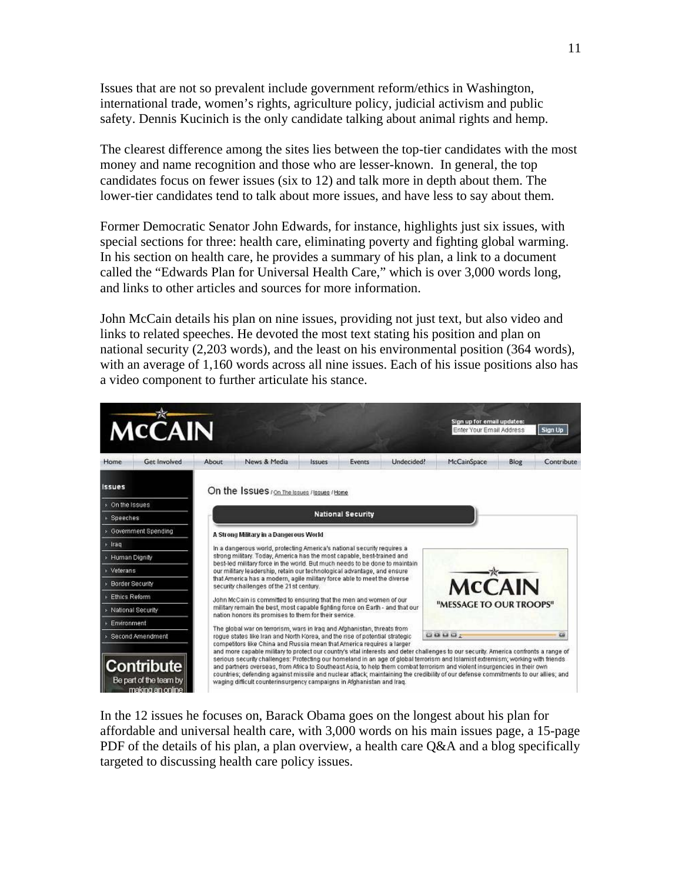Issues that are not so prevalent include government reform/ethics in Washington, international trade, women's rights, agriculture policy, judicial activism and public safety. Dennis Kucinich is the only candidate talking about animal rights and hemp.

The clearest difference among the sites lies between the top-tier candidates with the most money and name recognition and those who are lesser-known. In general, the top candidates focus on fewer issues (six to 12) and talk more in depth about them. The lower-tier candidates tend to talk about more issues, and have less to say about them.

Former Democratic Senator John Edwards, for instance, highlights just six issues, with special sections for three: health care, eliminating poverty and fighting global warming. In his section on health care, he provides a summary of his plan, a link to a document called the "Edwards Plan for Universal Health Care," which is over 3,000 words long, and links to other articles and sources for more information.

John McCain details his plan on nine issues, providing not just text, but also video and links to related speeches. He devoted the most text stating his position and plan on national security (2,203 words), and the least on his environmental position (364 words), with an average of 1,160 words across all nine issues. Each of his issue positions also has a video component to further articulate his stance.



In the 12 issues he focuses on, Barack Obama goes on the longest about his plan for affordable and universal health care, with 3,000 words on his main issues page, a 15-page PDF of the details of his plan, a plan overview, a health care Q&A and a blog specifically targeted to discussing health care policy issues.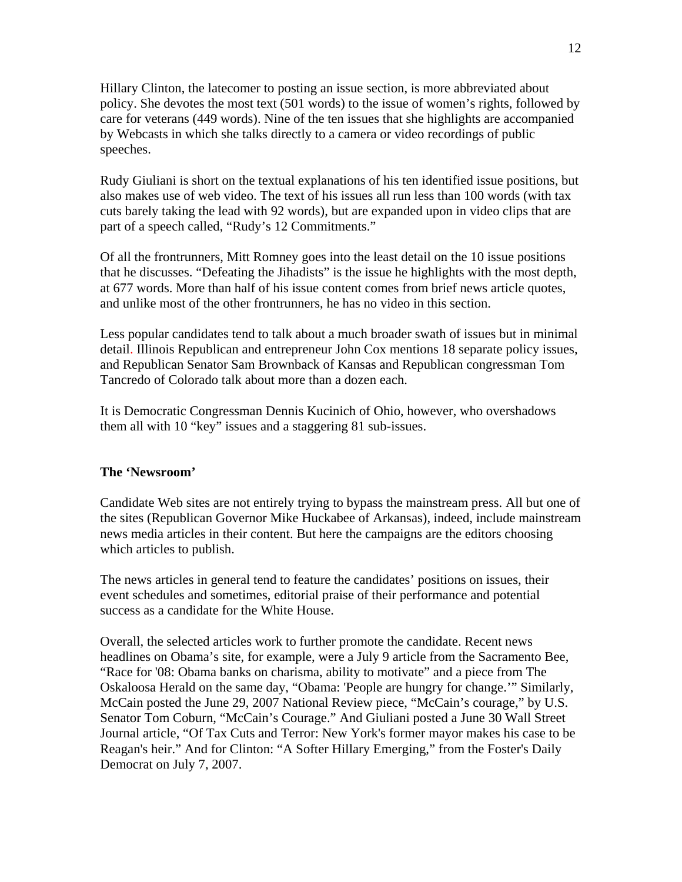Hillary Clinton, the latecomer to posting an issue section, is more abbreviated about policy. She devotes the most text (501 words) to the issue of women's rights, followed by care for veterans (449 words). Nine of the ten issues that she highlights are accompanied by Webcasts in which she talks directly to a camera or video recordings of public speeches.

Rudy Giuliani is short on the textual explanations of his ten identified issue positions, but also makes use of web video. The text of his issues all run less than 100 words (with tax cuts barely taking the lead with 92 words), but are expanded upon in video clips that are part of a speech called, "Rudy's 12 Commitments."

Of all the frontrunners, Mitt Romney goes into the least detail on the 10 issue positions that he discusses. "Defeating the Jihadists" is the issue he highlights with the most depth, at 677 words. More than half of his issue content comes from brief news article quotes, and unlike most of the other frontrunners, he has no video in this section.

Less popular candidates tend to talk about a much broader swath of issues but in minimal detail. Illinois Republican and entrepreneur John Cox mentions 18 separate policy issues, and Republican Senator Sam Brownback of Kansas and Republican congressman Tom Tancredo of Colorado talk about more than a dozen each.

It is Democratic Congressman Dennis Kucinich of Ohio, however, who overshadows them all with 10 "key" issues and a staggering 81 sub-issues.

# **The 'Newsroom'**

Candidate Web sites are not entirely trying to bypass the mainstream press. All but one of the sites (Republican Governor Mike Huckabee of Arkansas), indeed, include mainstream news media articles in their content. But here the campaigns are the editors choosing which articles to publish.

The news articles in general tend to feature the candidates' positions on issues, their event schedules and sometimes, editorial praise of their performance and potential success as a candidate for the White House.

Overall, the selected articles work to further promote the candidate. Recent news headlines on Obama's site, for example, were a July 9 article from the Sacramento Bee, "Race for '08: Obama banks on charisma, ability to motivate" and a piece from The Oskaloosa Herald on the same day, "Obama: 'People are hungry for change.'" Similarly, McCain posted the June 29, 2007 National Review piece, "McCain's courage," by U.S. Senator Tom Coburn, "McCain's Courage." And Giuliani posted a June 30 Wall Street Journal article, "Of Tax Cuts and Terror: New York's former mayor makes his case to be Reagan's heir." And for Clinton: "A Softer Hillary Emerging," from the Foster's Daily Democrat on July 7, 2007.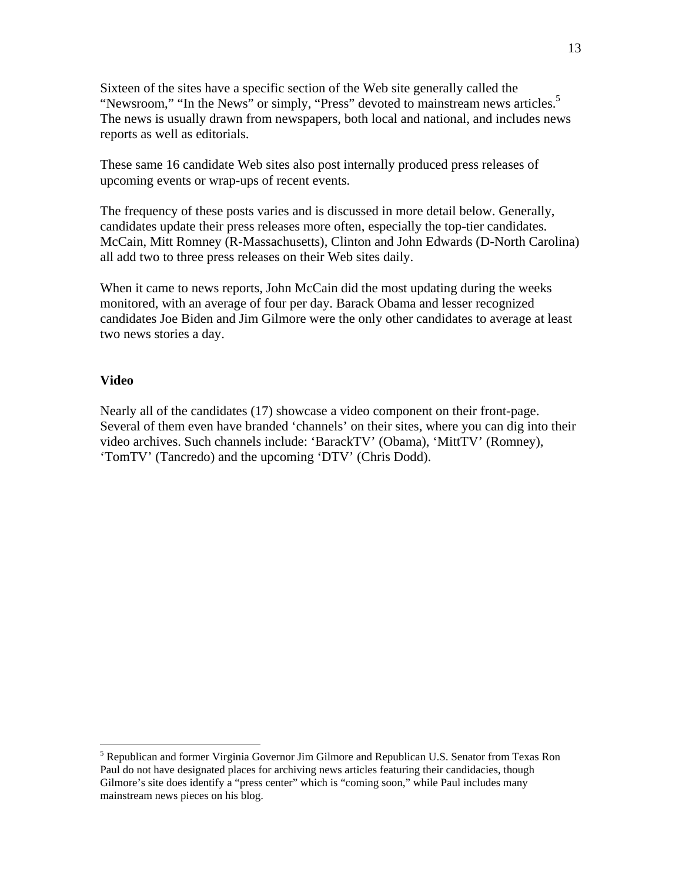Sixteen of the sites have a specific section of the Web site generally called the "Newsroom," "In the News" or simply, "Press" devoted to mainstream news articles.<sup>5</sup> The news is usually drawn from newspapers, both local and national, and includes news reports as well as editorials.

These same 16 candidate Web sites also post internally produced press releases of upcoming events or wrap-ups of recent events.

The frequency of these posts varies and is discussed in more detail below. Generally, candidates update their press releases more often, especially the top-tier candidates. McCain, Mitt Romney (R-Massachusetts), Clinton and John Edwards (D-North Carolina) all add two to three press releases on their Web sites daily.

When it came to news reports, John McCain did the most updating during the weeks monitored, with an average of four per day. Barack Obama and lesser recognized candidates Joe Biden and Jim Gilmore were the only other candidates to average at least two news stories a day.

#### **Video**

 $\overline{a}$ 

Nearly all of the candidates (17) showcase a video component on their front-page. Several of them even have branded 'channels' on their sites, where you can dig into their video archives. Such channels include: 'BarackTV' (Obama), 'MittTV' (Romney), 'TomTV' (Tancredo) and the upcoming 'DTV' (Chris Dodd).

<sup>&</sup>lt;sup>5</sup> Republican and former Virginia Governor Jim Gilmore and Republican U.S. Senator from Texas Ron Paul do not have designated places for archiving news articles featuring their candidacies, though Gilmore's site does identify a "press center" which is "coming soon," while Paul includes many mainstream news pieces on his blog.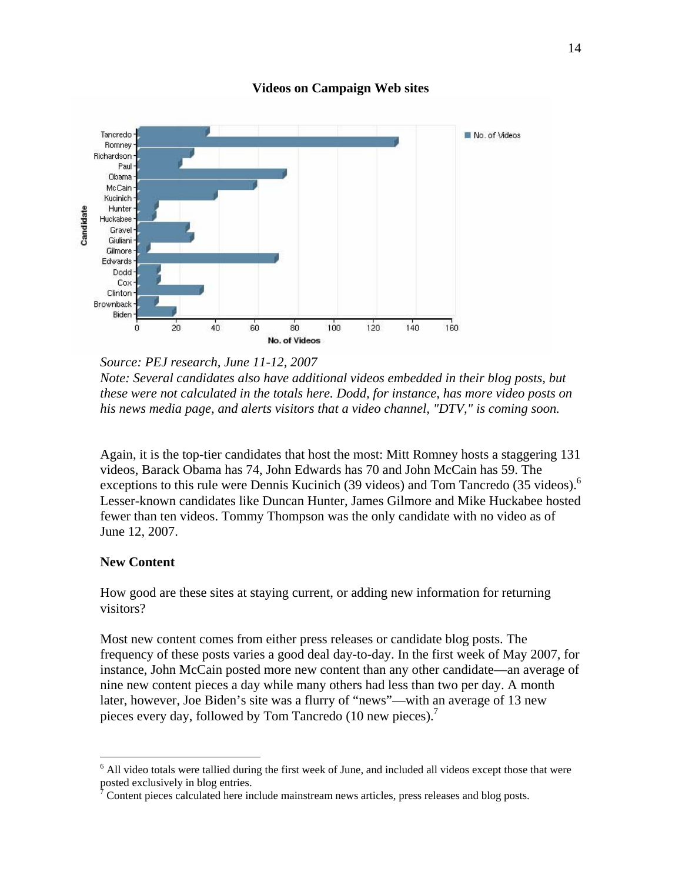

**Videos on Campaign Web sites** 

*Source: PEJ research, June 11-12, 2007 Note: Several candidates also have additional videos embedded in their blog posts, but these were not calculated in the totals here. Dodd, for instance, has more video posts on his news media page, and alerts visitors that a video channel, "DTV," is coming soon.* 

Again, it is the top-tier candidates that host the most: Mitt Romney hosts a staggering 131 videos, Barack Obama has 74, John Edwards has 70 and John McCain has 59. The exceptions to this rule were Dennis Kucinich (39 videos) and Tom Tancredo (35 videos).<sup>6</sup> Lesser-known candidates like Duncan Hunter, James Gilmore and Mike Huckabee hosted fewer than ten videos. Tommy Thompson was the only candidate with no video as of June 12, 2007.

#### **New Content**

 $\overline{a}$ 

How good are these sites at staying current, or adding new information for returning visitors?

Most new content comes from either press releases or candidate blog posts. The frequency of these posts varies a good deal day-to-day. In the first week of May 2007, for instance, John McCain posted more new content than any other candidate—an average of nine new content pieces a day while many others had less than two per day. A month later, however, Joe Biden's site was a flurry of "news"—with an average of 13 new pieces every day, followed by Tom Tancredo (10 new pieces).<sup>7</sup>

<sup>&</sup>lt;sup>6</sup> All video totals were tallied during the first week of June, and included all videos except those that were posted exclusively in blog entries.

Content pieces calculated here include mainstream news articles, press releases and blog posts.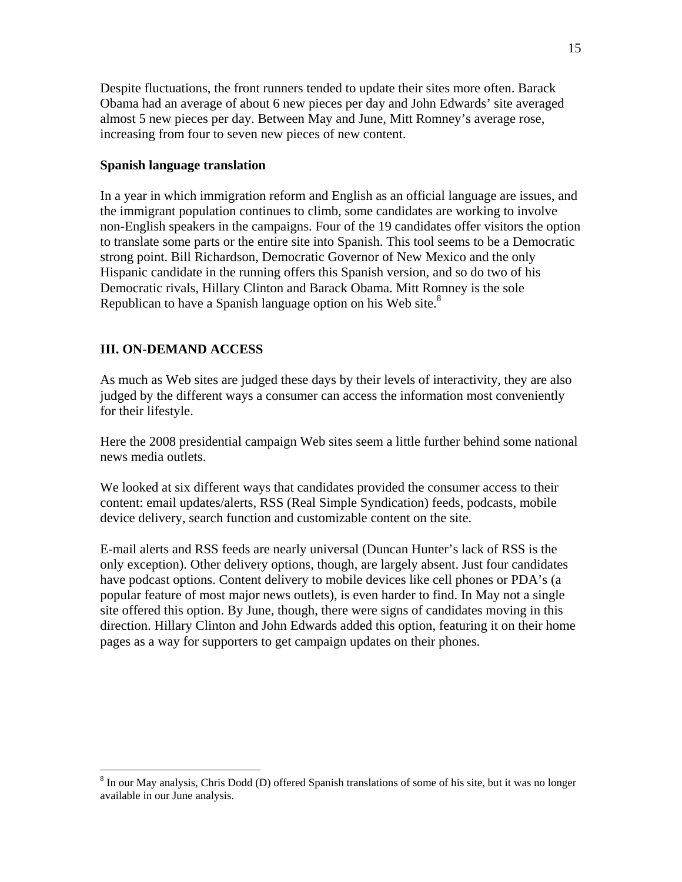Despite fluctuations, the front runners tended to update their sites more often. Barack Obama had an average of about 6 new pieces per day and John Edwards' site averaged almost 5 new pieces per day. Between May and June, Mitt Romney's average rose, increasing from four to seven new pieces of new content.

### **Spanish language translation**

In a year in which immigration reform and English as an official language are issues, and the immigrant population continues to climb, some candidates are working to involve non-English speakers in the campaigns. Four of the 19 candidates offer visitors the option to translate some parts or the entire site into Spanish. This tool seems to be a Democratic strong point. Bill Richardson, Democratic Governor of New Mexico and the only Hispanic candidate in the running offers this Spanish version, and so do two of his Democratic rivals, Hillary Clinton and Barack Obama. Mitt Romney is the sole Republican to have a Spanish language option on his Web site. $8$ 

# **III. ON-DEMAND ACCESS**

 $\overline{a}$ 

As much as Web sites are judged these days by their levels of interactivity, they are also judged by the different ways a consumer can access the information most conveniently for their lifestyle.

Here the 2008 presidential campaign Web sites seem a little further behind some national news media outlets.

We looked at six different ways that candidates provided the consumer access to their content: email updates/alerts, RSS (Real Simple Syndication) feeds, podcasts, mobile device delivery, search function and customizable content on the site.

E-mail alerts and RSS feeds are nearly universal (Duncan Hunter's lack of RSS is the only exception). Other delivery options, though, are largely absent. Just four candidates have podcast options. Content delivery to mobile devices like cell phones or PDA's (a popular feature of most major news outlets), is even harder to find. In May not a single site offered this option. By June, though, there were signs of candidates moving in this direction. Hillary Clinton and John Edwards added this option, featuring it on their home pages as a way for supporters to get campaign updates on their phones.

<sup>&</sup>lt;sup>8</sup> In our May analysis, Chris Dodd (D) offered Spanish translations of some of his site, but it was no longer available in our June analysis.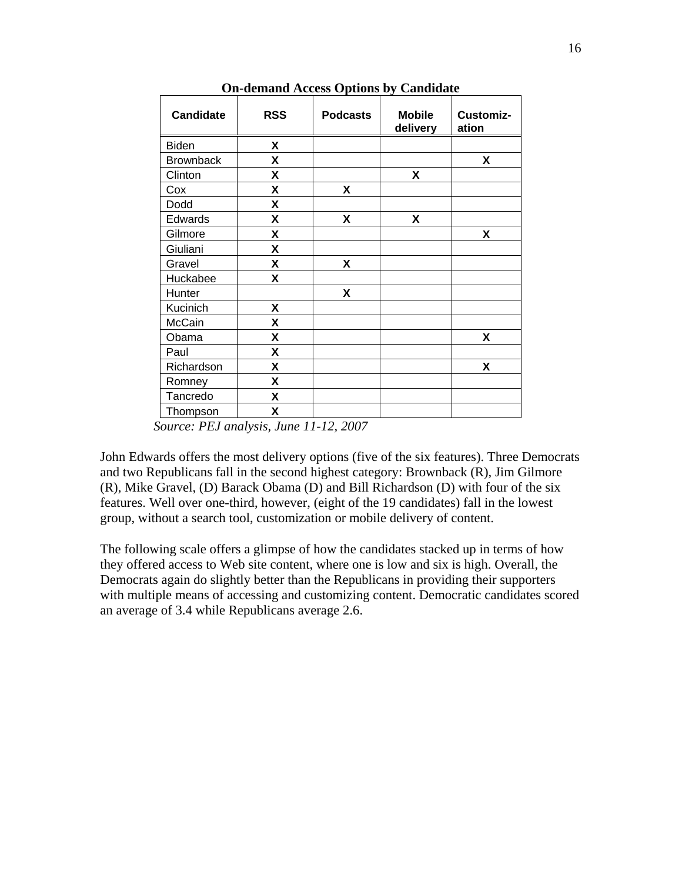| <b>Candidate</b> | <b>RSS</b> | <b>Podcasts</b> | <b>Mobile</b><br>delivery | Customiz-<br>ation |
|------------------|------------|-----------------|---------------------------|--------------------|
| <b>Biden</b>     | X          |                 |                           |                    |
| <b>Brownback</b> | X          |                 |                           | X                  |
| Clinton          | X          |                 | X                         |                    |
| Cox              | X          | X               |                           |                    |
| Dodd             | X          |                 |                           |                    |
| Edwards          | X          | X               | X                         |                    |
| Gilmore          | X          |                 |                           | Χ                  |
| Giuliani         | X          |                 |                           |                    |
| Gravel           | X          | X               |                           |                    |
| Huckabee         | X          |                 |                           |                    |
| Hunter           |            | X               |                           |                    |
| Kucinich         | X          |                 |                           |                    |
| McCain           | X          |                 |                           |                    |
| Obama            | X          |                 |                           | Χ                  |
| Paul             | X          |                 |                           |                    |
| Richardson       | X          |                 |                           | X                  |
| Romney           | Χ          |                 |                           |                    |
| Tancredo         | X          |                 |                           |                    |
| Thompson         | X          |                 |                           |                    |

**On-demand Access Options by Candidate** 

*Source: PEJ analysis, June 11-12, 2007* 

John Edwards offers the most delivery options (five of the six features). Three Democrats and two Republicans fall in the second highest category: Brownback (R), Jim Gilmore (R), Mike Gravel, (D) Barack Obama (D) and Bill Richardson (D) with four of the six features. Well over one-third, however, (eight of the 19 candidates) fall in the lowest group, without a search tool, customization or mobile delivery of content.

The following scale offers a glimpse of how the candidates stacked up in terms of how they offered access to Web site content, where one is low and six is high. Overall, the Democrats again do slightly better than the Republicans in providing their supporters with multiple means of accessing and customizing content. Democratic candidates scored an average of 3.4 while Republicans average 2.6.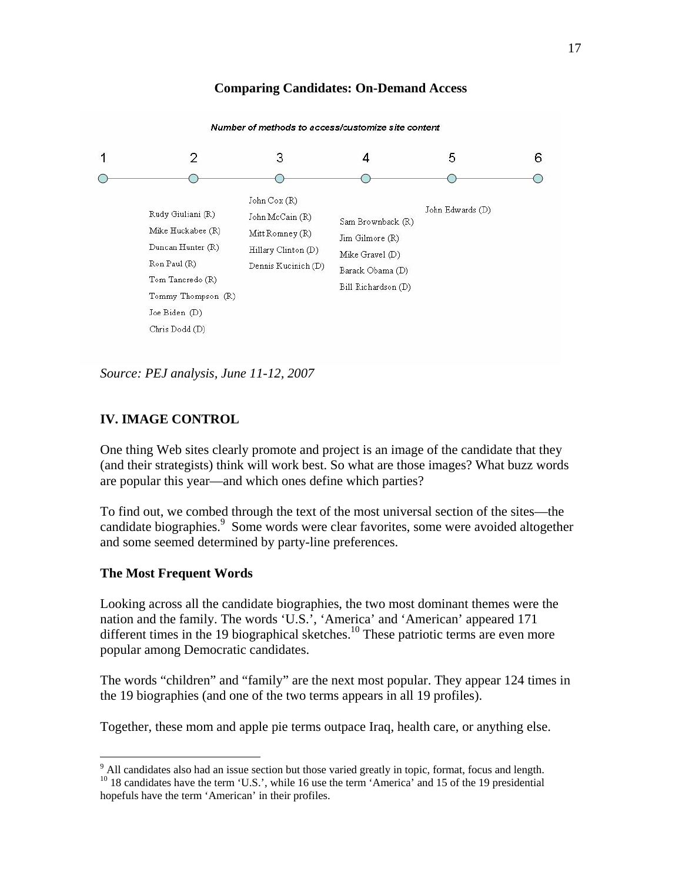# **Comparing Candidates: On-Demand Access**



Number of methods to access/customize site content

*Source: PEJ analysis, June 11-12, 2007* 

### **IV. IMAGE CONTROL**

One thing Web sites clearly promote and project is an image of the candidate that they (and their strategists) think will work best. So what are those images? What buzz words are popular this year—and which ones define which parties?

To find out, we combed through the text of the most universal section of the sites—the candidate biographies.<sup>9</sup> Some words were clear favorites, some were avoided altogether and some seemed determined by party-line preferences.

#### **The Most Frequent Words**

1

Looking across all the candidate biographies, the two most dominant themes were the nation and the family. The words 'U.S.', 'America' and 'American' appeared 171 different times in the 19 biographical sketches.<sup>10</sup> These patriotic terms are even more popular among Democratic candidates.

The words "children" and "family" are the next most popular. They appear 124 times in the 19 biographies (and one of the two terms appears in all 19 profiles).

Together, these mom and apple pie terms outpace Iraq, health care, or anything else.

<sup>&</sup>lt;sup>9</sup> All candidates also had an issue section but those varied greatly in topic, format, focus and length. <sup>10</sup> 18 candidates have the term 'U.S.', while 16 use the term 'America' and 15 of the 19 presidential hopefuls have the term 'American' in their profiles.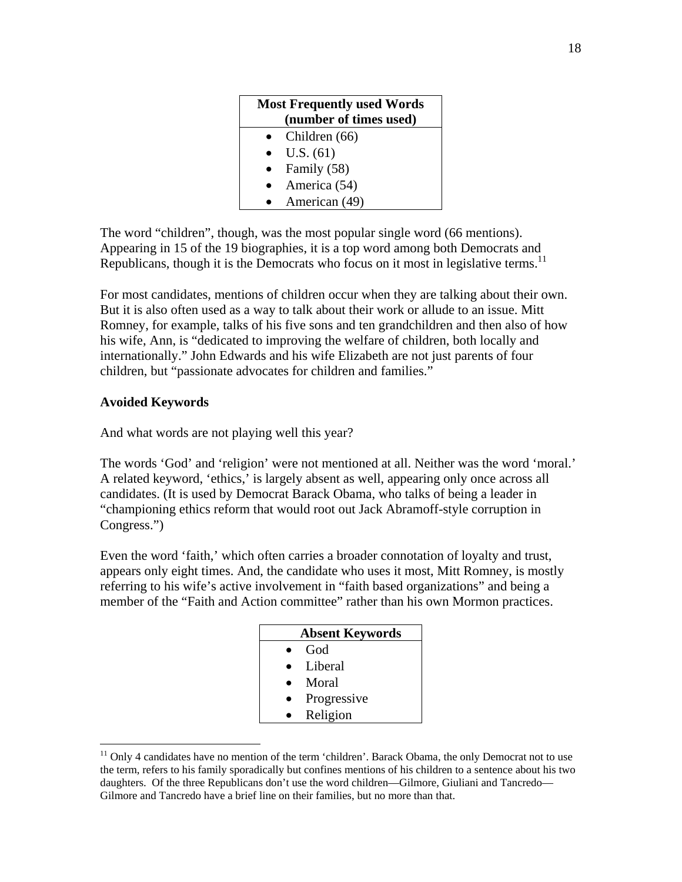| <b>Most Frequently used Words</b> |  |
|-----------------------------------|--|
| (number of times used)            |  |
| Children (66)                     |  |
| U.S. (61)                         |  |
| Family (58)                       |  |
| America (54)                      |  |
| American (49)                     |  |

The word "children", though, was the most popular single word (66 mentions). Appearing in 15 of the 19 biographies, it is a top word among both Democrats and Republicans, though it is the Democrats who focus on it most in legislative terms.<sup>11</sup>

For most candidates, mentions of children occur when they are talking about their own. But it is also often used as a way to talk about their work or allude to an issue. Mitt Romney, for example, talks of his five sons and ten grandchildren and then also of how his wife, Ann, is "dedicated to improving the welfare of children, both locally and internationally." John Edwards and his wife Elizabeth are not just parents of four children, but "passionate advocates for children and families."

# **Avoided Keywords**

 $\overline{a}$ 

And what words are not playing well this year?

The words 'God' and 'religion' were not mentioned at all. Neither was the word 'moral.' A related keyword, 'ethics,' is largely absent as well, appearing only once across all candidates. (It is used by Democrat Barack Obama, who talks of being a leader in "championing ethics reform that would root out Jack Abramoff-style corruption in Congress.")

Even the word 'faith,' which often carries a broader connotation of loyalty and trust, appears only eight times. And, the candidate who uses it most, Mitt Romney, is mostly referring to his wife's active involvement in "faith based organizations" and being a member of the "Faith and Action committee" rather than his own Mormon practices.

| <b>Absent Keywords</b> |
|------------------------|
| God                    |
| Liberal                |
| Moral                  |
| Progressive            |
| Religion               |
|                        |

 $11$  Only 4 candidates have no mention of the term 'children'. Barack Obama, the only Democrat not to use the term, refers to his family sporadically but confines mentions of his children to a sentence about his two daughters. Of the three Republicans don't use the word children—Gilmore, Giuliani and Tancredo— Gilmore and Tancredo have a brief line on their families, but no more than that.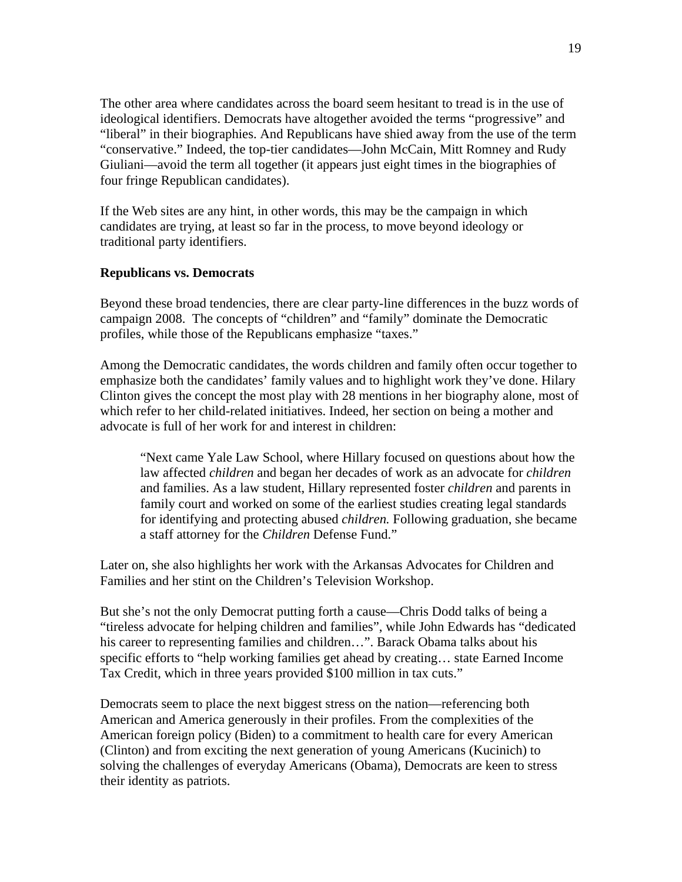The other area where candidates across the board seem hesitant to tread is in the use of ideological identifiers. Democrats have altogether avoided the terms "progressive" and "liberal" in their biographies. And Republicans have shied away from the use of the term "conservative." Indeed, the top-tier candidates—John McCain, Mitt Romney and Rudy Giuliani—avoid the term all together (it appears just eight times in the biographies of four fringe Republican candidates).

If the Web sites are any hint, in other words, this may be the campaign in which candidates are trying, at least so far in the process, to move beyond ideology or traditional party identifiers.

# **Republicans vs. Democrats**

Beyond these broad tendencies, there are clear party-line differences in the buzz words of campaign 2008. The concepts of "children" and "family" dominate the Democratic profiles, while those of the Republicans emphasize "taxes."

Among the Democratic candidates, the words children and family often occur together to emphasize both the candidates' family values and to highlight work they've done. Hilary Clinton gives the concept the most play with 28 mentions in her biography alone, most of which refer to her child-related initiatives. Indeed, her section on being a mother and advocate is full of her work for and interest in children:

"Next came Yale Law School, where Hillary focused on questions about how the law affected *children* and began her decades of work as an advocate for *children* and families. As a law student, Hillary represented foster *children* and parents in family court and worked on some of the earliest studies creating legal standards for identifying and protecting abused *children.* Following graduation, she became a staff attorney for the *Children* Defense Fund."

Later on, she also highlights her work with the Arkansas Advocates for Children and Families and her stint on the Children's Television Workshop.

But she's not the only Democrat putting forth a cause—Chris Dodd talks of being a "tireless advocate for helping children and families", while John Edwards has "dedicated his career to representing families and children…". Barack Obama talks about his specific efforts to "help working families get ahead by creating… state Earned Income Tax Credit, which in three years provided \$100 million in tax cuts."

Democrats seem to place the next biggest stress on the nation—referencing both American and America generously in their profiles. From the complexities of the American foreign policy (Biden) to a commitment to health care for every American (Clinton) and from exciting the next generation of young Americans (Kucinich) to solving the challenges of everyday Americans (Obama), Democrats are keen to stress their identity as patriots.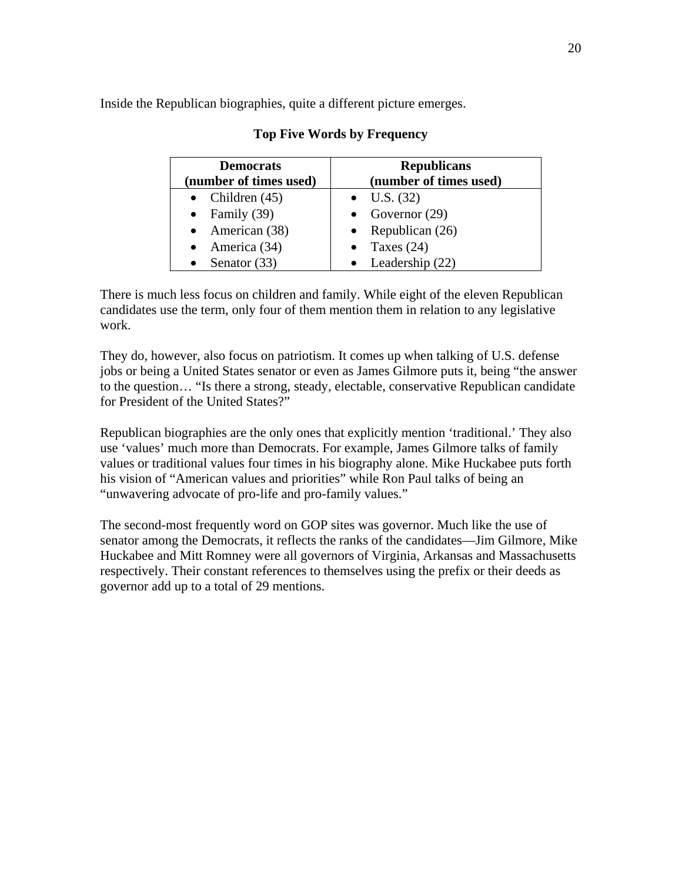Inside the Republican biographies, quite a different picture emerges.

| <b>Democrats</b>       | <b>Republicans</b>     |
|------------------------|------------------------|
| (number of times used) | (number of times used) |
| • Children $(45)$      | $\bullet$ U.S. (32)    |
| • Family $(39)$        | • Governor $(29)$      |
| • American $(38)$      | • Republican $(26)$    |
| • America $(34)$       | • Taxes $(24)$         |
| • Senator $(33)$       | • Leadership $(22)$    |

# **Top Five Words by Frequency**

There is much less focus on children and family. While eight of the eleven Republican candidates use the term, only four of them mention them in relation to any legislative work.

They do, however, also focus on patriotism. It comes up when talking of U.S. defense jobs or being a United States senator or even as James Gilmore puts it, being "the answer to the question… "Is there a strong, steady, electable, conservative Republican candidate for President of the United States?"

Republican biographies are the only ones that explicitly mention 'traditional.' They also use 'values' much more than Democrats. For example, James Gilmore talks of family values or traditional values four times in his biography alone. Mike Huckabee puts forth his vision of "American values and priorities" while Ron Paul talks of being an "unwavering advocate of pro-life and pro-family values."

The second-most frequently word on GOP sites was governor. Much like the use of senator among the Democrats, it reflects the ranks of the candidates—Jim Gilmore, Mike Huckabee and Mitt Romney were all governors of Virginia, Arkansas and Massachusetts respectively. Their constant references to themselves using the prefix or their deeds as governor add up to a total of 29 mentions.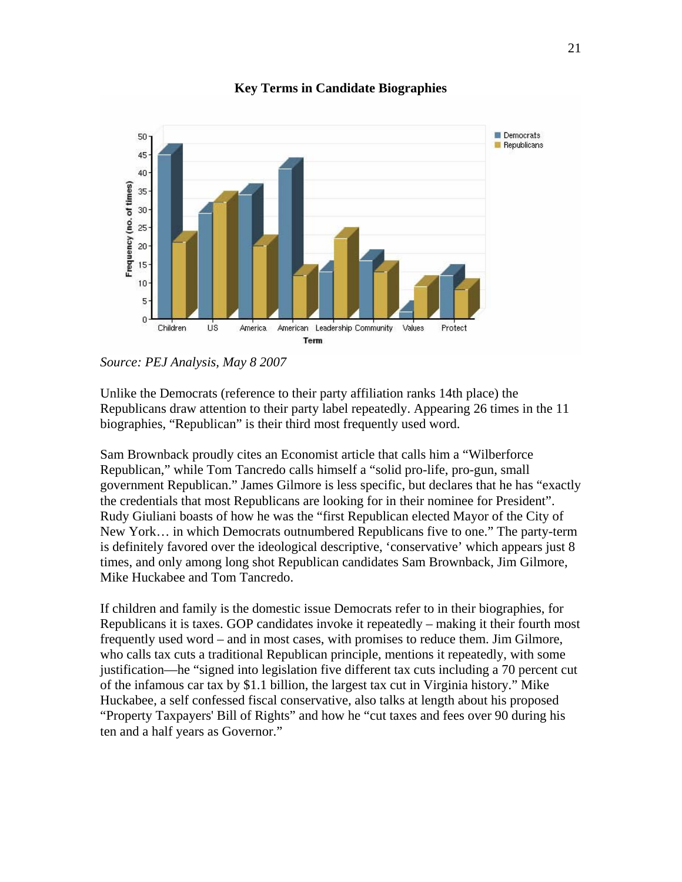

**Key Terms in Candidate Biographies** 

Unlike the Democrats (reference to their party affiliation ranks 14th place) the Republicans draw attention to their party label repeatedly. Appearing 26 times in the 11 biographies, "Republican" is their third most frequently used word.

Sam Brownback proudly cites an Economist article that calls him a "Wilberforce Republican," while Tom Tancredo calls himself a "solid pro-life, pro-gun, small government Republican." James Gilmore is less specific, but declares that he has "exactly the credentials that most Republicans are looking for in their nominee for President". Rudy Giuliani boasts of how he was the "first Republican elected Mayor of the City of New York… in which Democrats outnumbered Republicans five to one." The party-term is definitely favored over the ideological descriptive, 'conservative' which appears just 8 times, and only among long shot Republican candidates Sam Brownback, Jim Gilmore, Mike Huckabee and Tom Tancredo.

If children and family is the domestic issue Democrats refer to in their biographies, for Republicans it is taxes. GOP candidates invoke it repeatedly – making it their fourth most frequently used word – and in most cases, with promises to reduce them. Jim Gilmore, who calls tax cuts a traditional Republican principle, mentions it repeatedly, with some justification—he "signed into legislation five different tax cuts including a 70 percent cut of the infamous car tax by \$1.1 billion, the largest tax cut in Virginia history." Mike Huckabee, a self confessed fiscal conservative, also talks at length about his proposed "Property Taxpayers' Bill of Rights" and how he "cut taxes and fees over 90 during his ten and a half years as Governor."

*Source: PEJ Analysis, May 8 2007*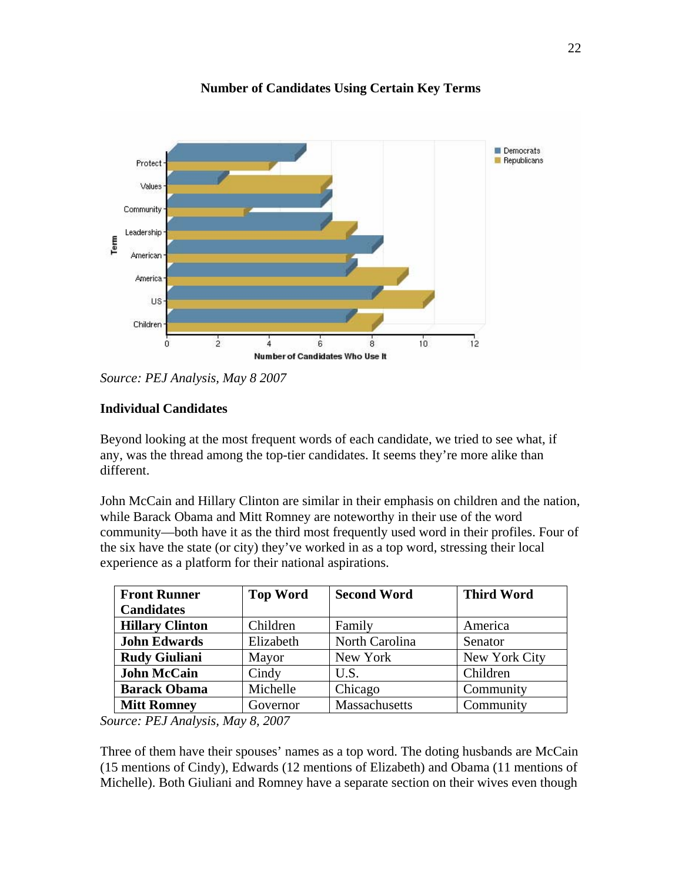

**Number of Candidates Using Certain Key Terms** 

*Source: PEJ Analysis, May 8 2007* 

# **Individual Candidates**

Beyond looking at the most frequent words of each candidate, we tried to see what, if any, was the thread among the top-tier candidates. It seems they're more alike than different.

John McCain and Hillary Clinton are similar in their emphasis on children and the nation, while Barack Obama and Mitt Romney are noteworthy in their use of the word community—both have it as the third most frequently used word in their profiles. Four of the six have the state (or city) they've worked in as a top word, stressing their local experience as a platform for their national aspirations.

| <b>Front Runner</b>    | <b>Top Word</b> | <b>Second Word</b> | <b>Third Word</b> |  |
|------------------------|-----------------|--------------------|-------------------|--|
| <b>Candidates</b>      |                 |                    |                   |  |
| <b>Hillary Clinton</b> | Children        | Family             | America           |  |
| <b>John Edwards</b>    | Elizabeth       | North Carolina     | Senator           |  |
| <b>Rudy Giuliani</b>   | Mayor           | New York           | New York City     |  |
| <b>John McCain</b>     | Cindy           | U.S.               | Children          |  |
| <b>Barack Obama</b>    | Michelle        | Chicago            | Community         |  |
| <b>Mitt Romney</b>     | Governor        | Massachusetts      | Community         |  |

*Source: PEJ Analysis, May 8, 2007* 

Three of them have their spouses' names as a top word. The doting husbands are McCain (15 mentions of Cindy), Edwards (12 mentions of Elizabeth) and Obama (11 mentions of Michelle). Both Giuliani and Romney have a separate section on their wives even though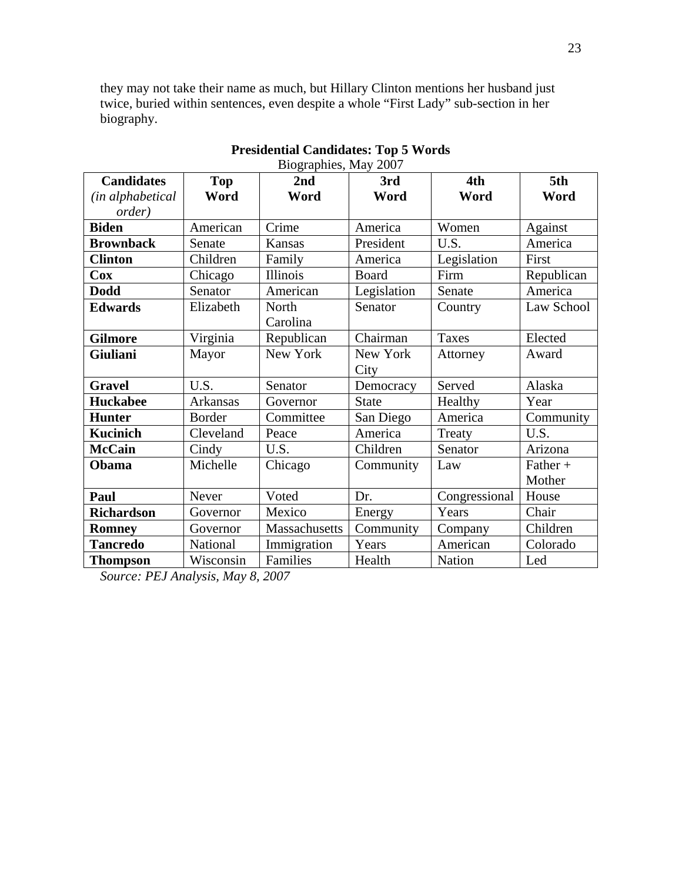they may not take their name as much, but Hillary Clinton mentions her husband just twice, buried within sentences, even despite a whole "First Lady" sub-section in her biography.

| Biographies, May 2007 |            |               |              |               |            |
|-----------------------|------------|---------------|--------------|---------------|------------|
| <b>Candidates</b>     | <b>Top</b> | 2nd           | 3rd          | 4th           | 5th        |
| (in alphabetical      | Word       | Word          | Word         | Word          | Word       |
| <i>order</i> )        |            |               |              |               |            |
| <b>Biden</b>          | American   | Crime         | America      | Women         | Against    |
| <b>Brownback</b>      | Senate     | Kansas        | President    | U.S.          | America    |
| <b>Clinton</b>        | Children   | Family        | America      | Legislation   | First      |
| $\bf{Cox}$            | Chicago    | Illinois      | Board        | Firm          | Republican |
| <b>Dodd</b>           | Senator    | American      | Legislation  | Senate        | America    |
| <b>Edwards</b>        | Elizabeth  | North         | Senator      | Country       | Law School |
|                       |            | Carolina      |              |               |            |
| <b>Gilmore</b>        | Virginia   | Republican    | Chairman     | Taxes         | Elected    |
| Giuliani              | Mayor      | New York      | New York     | Attorney      | Award      |
|                       |            |               | City         |               |            |
| <b>Gravel</b>         | U.S.       | Senator       | Democracy    | Served        | Alaska     |
| <b>Huckabee</b>       | Arkansas   | Governor      | <b>State</b> | Healthy       | Year       |
| <b>Hunter</b>         | Border     | Committee     | San Diego    | America       | Community  |
| <b>Kucinich</b>       | Cleveland  | Peace         | America      | Treaty        | U.S.       |
| <b>McCain</b>         | Cindy      | U.S.          | Children     | Senator       | Arizona    |
| Obama                 | Michelle   | Chicago       | Community    | Law           | $Father +$ |
|                       |            |               |              |               | Mother     |
| Paul                  | Never      | Voted         | Dr.          | Congressional | House      |
| <b>Richardson</b>     | Governor   | Mexico        | Energy       | Years         | Chair      |
| <b>Romney</b>         | Governor   | Massachusetts | Community    | Company       | Children   |
| <b>Tancredo</b>       | National   | Immigration   | Years        | American      | Colorado   |
| <b>Thompson</b>       | Wisconsin  | Families      | Health       | Nation        | Led        |

# **Presidential Candidates: Top 5 Words**

*Source: PEJ Analysis, May 8, 2007*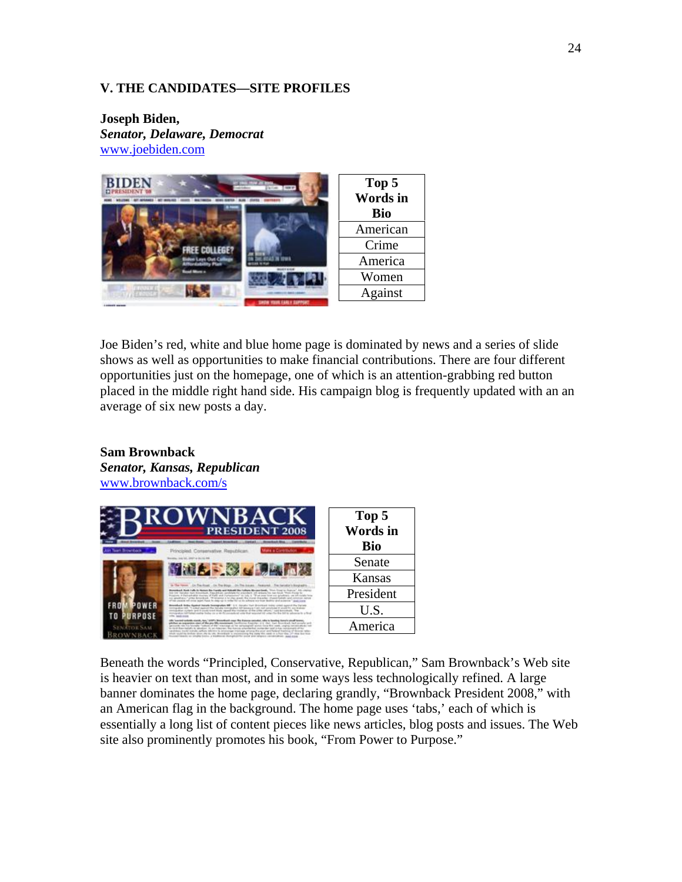### **V. THE CANDIDATES—SITE PROFILES**

**Joseph Biden,**  *Senator, Delaware, Democrat*  www.joebiden.com



Joe Biden's red, white and blue home page is dominated by news and a series of slide shows as well as opportunities to make financial contributions. There are four different opportunities just on the homepage, one of which is an attention-grabbing red button placed in the middle right hand side. His campaign blog is frequently updated with an an average of six new posts a day.

#### **Sam Brownback**  *Senator, Kansas, Republican*

www.brownback.com/s



Beneath the words "Principled, Conservative, Republican," Sam Brownback's Web site is heavier on text than most, and in some ways less technologically refined. A large banner dominates the home page, declaring grandly, "Brownback President 2008," with an American flag in the background. The home page uses 'tabs,' each of which is essentially a long list of content pieces like news articles, blog posts and issues. The Web site also prominently promotes his book, "From Power to Purpose."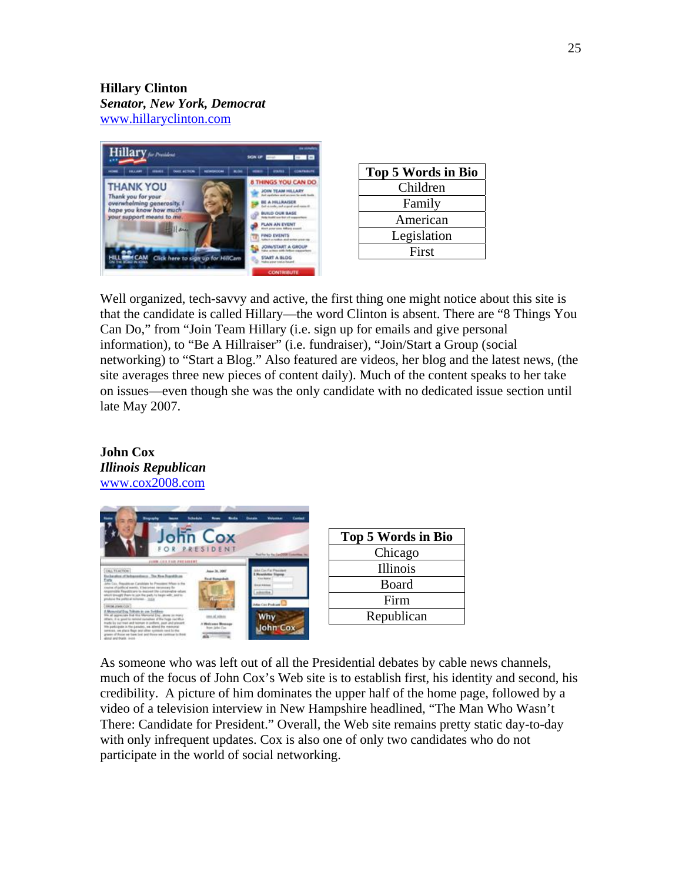# **Hillary Clinton**  *Senator, New York, Democrat*  www.hillaryclinton.com



| <b>Top 5 Words in Bio</b> |
|---------------------------|
| Children                  |
| Family                    |
| American                  |
| Legislation               |
| First                     |

Well organized, tech-savvy and active, the first thing one might notice about this site is that the candidate is called Hillary—the word Clinton is absent. There are "8 Things You Can Do," from "Join Team Hillary (i.e. sign up for emails and give personal information), to "Be A Hillraiser" (i.e. fundraiser), "Join/Start a Group (social networking) to "Start a Blog." Also featured are videos, her blog and the latest news, (the site averages three new pieces of content daily). Much of the content speaks to her take on issues—even though she was the only candidate with no dedicated issue section until late May 2007.

### **John Cox**  *Illinois Republican*  www.cox2008.com



| Top 5 Words in Bio |
|--------------------|
| Chicago            |
| Illinois           |
| Board              |
| Firm               |
| Republican         |
|                    |

As someone who was left out of all the Presidential debates by cable news channels, much of the focus of John Cox's Web site is to establish first, his identity and second, his credibility. A picture of him dominates the upper half of the home page, followed by a video of a television interview in New Hampshire headlined, "The Man Who Wasn't There: Candidate for President." Overall, the Web site remains pretty static day-to-day with only infrequent updates. Cox is also one of only two candidates who do not participate in the world of social networking.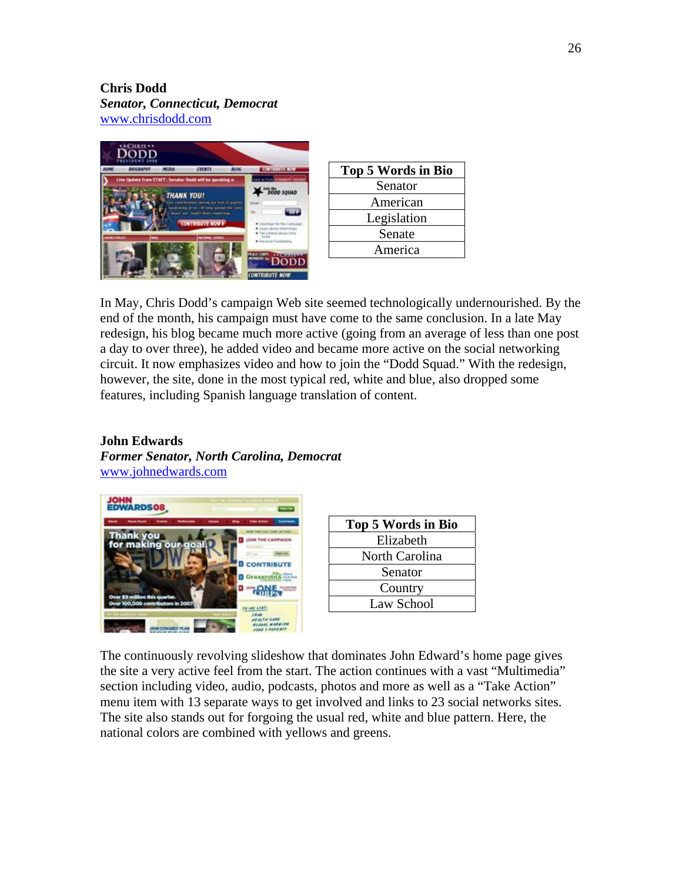# **Chris Dodd**  *Senator, Connecticut, Democrat*

www.chrisdodd.com



| <b>Top 5 Words in Bio</b> |
|---------------------------|
| Senator                   |
| American                  |
| Legislation               |
| Senate                    |
| America                   |
|                           |

In May, Chris Dodd's campaign Web site seemed technologically undernourished. By the end of the month, his campaign must have come to the same conclusion. In a late May redesign, his blog became much more active (going from an average of less than one post a day to over three), he added video and became more active on the social networking circuit. It now emphasizes video and how to join the "Dodd Squad." With the redesign, however, the site, done in the most typical red, white and blue, also dropped some features, including Spanish language translation of content.

# **John Edwards**

*Former Senator, North Carolina, Democrat*  www.johnedwards.com



| Top 5 Words in Bio |
|--------------------|
| Elizabeth          |
| North Carolina     |
| Senator            |
| Country            |
| Law School         |

The continuously revolving slideshow that dominates John Edward's home page gives the site a very active feel from the start. The action continues with a vast "Multimedia" section including video, audio, podcasts, photos and more as well as a "Take Action" menu item with 13 separate ways to get involved and links to 23 social networks sites. The site also stands out for forgoing the usual red, white and blue pattern. Here, the national colors are combined with yellows and greens.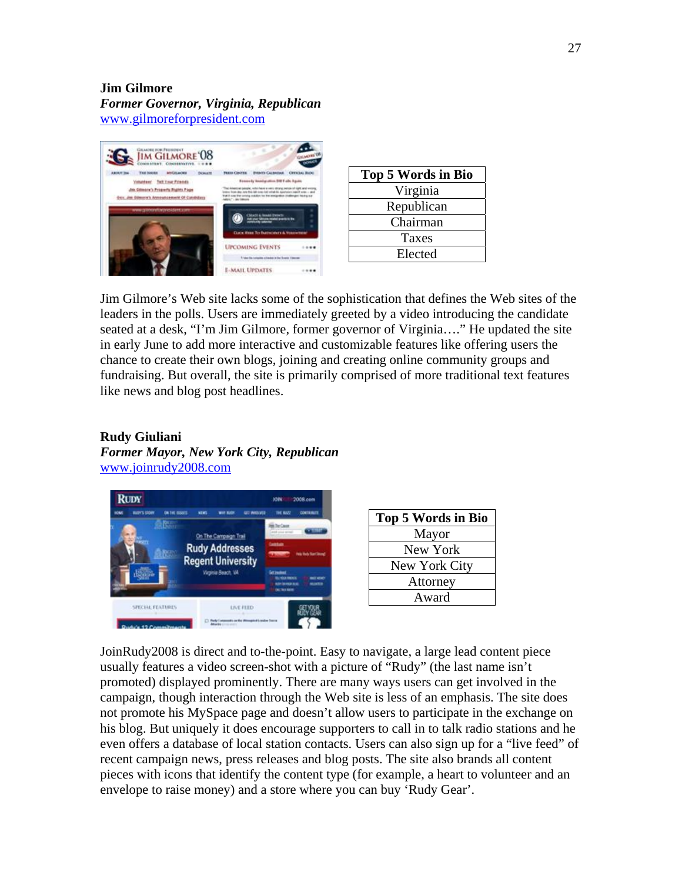# **Jim Gilmore**  *Former Governor, Virginia, Republican*  www.gilmoreforpresident.com



| Top 5 Words in Bio |
|--------------------|
| Virginia           |
| Republican         |
| Chairman           |
| Taxes              |
| Elected            |

Jim Gilmore's Web site lacks some of the sophistication that defines the Web sites of the leaders in the polls. Users are immediately greeted by a video introducing the candidate seated at a desk, "I'm Jim Gilmore, former governor of Virginia…." He updated the site in early June to add more interactive and customizable features like offering users the chance to create their own blogs, joining and creating online community groups and fundraising. But overall, the site is primarily comprised of more traditional text features like news and blog post headlines.

# **Rudy Giuliani**

*Former Mayor, New York City, Republican*  www.joinrudy2008.com



JoinRudy2008 is direct and to-the-point. Easy to navigate, a large lead content piece usually features a video screen-shot with a picture of "Rudy" (the last name isn't promoted) displayed prominently. There are many ways users can get involved in the campaign, though interaction through the Web site is less of an emphasis. The site does not promote his MySpace page and doesn't allow users to participate in the exchange on his blog. But uniquely it does encourage supporters to call in to talk radio stations and he even offers a database of local station contacts. Users can also sign up for a "live feed" of recent campaign news, press releases and blog posts. The site also brands all content pieces with icons that identify the content type (for example, a heart to volunteer and an envelope to raise money) and a store where you can buy 'Rudy Gear'.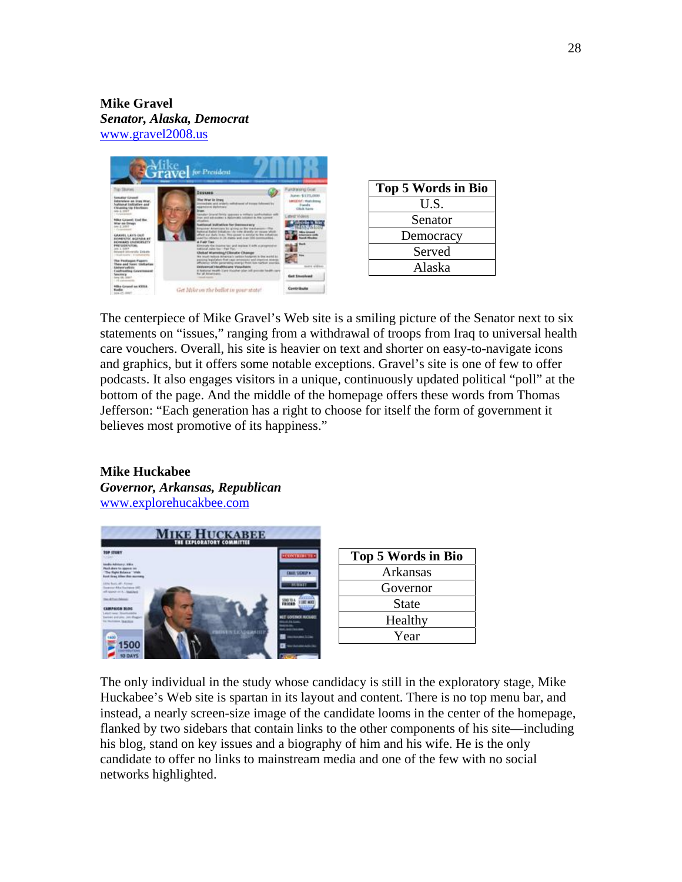# **Mike Gravel**  *Senator, Alaska, Democrat*  www.gravel2008.us



| Top 5 Words in Bio |
|--------------------|
| U.S.               |
| Senator            |
| Democracy          |
| Served             |
| Alaska             |

The centerpiece of Mike Gravel's Web site is a smiling picture of the Senator next to six statements on "issues," ranging from a withdrawal of troops from Iraq to universal health care vouchers. Overall, his site is heavier on text and shorter on easy-to-navigate icons and graphics, but it offers some notable exceptions. Gravel's site is one of few to offer podcasts. It also engages visitors in a unique, continuously updated political "poll" at the bottom of the page. And the middle of the homepage offers these words from Thomas Jefferson: "Each generation has a right to choose for itself the form of government it believes most promotive of its happiness."

# **Mike Huckabee**  *Governor, Arkansas, Republican*  www.explorehucakbee.com



| Top 5 Words in Bio |
|--------------------|
| Arkansas           |
| Governor           |
| State              |
| Healthy            |
| Year               |

The only individual in the study whose candidacy is still in the exploratory stage, Mike Huckabee's Web site is spartan in its layout and content. There is no top menu bar, and instead, a nearly screen-size image of the candidate looms in the center of the homepage, flanked by two sidebars that contain links to the other components of his site—including his blog, stand on key issues and a biography of him and his wife. He is the only candidate to offer no links to mainstream media and one of the few with no social networks highlighted.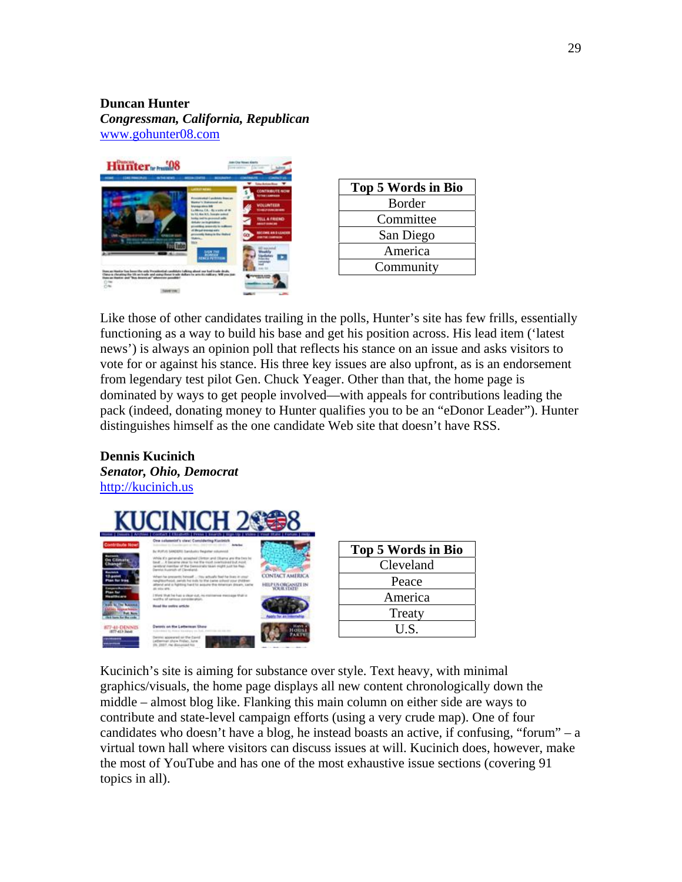# **Duncan Hunter**

*Congressman, California, Republican*  www.gohunter08.com



| Top 5 Words in Bio |
|--------------------|
| Border             |
| Committee          |
| San Diego          |
| America            |
| Community          |
|                    |

Like those of other candidates trailing in the polls, Hunter's site has few frills, essentially functioning as a way to build his base and get his position across. His lead item ('latest news') is always an opinion poll that reflects his stance on an issue and asks visitors to vote for or against his stance. His three key issues are also upfront, as is an endorsement from legendary test pilot Gen. Chuck Yeager. Other than that, the home page is dominated by ways to get people involved—with appeals for contributions leading the pack (indeed, donating money to Hunter qualifies you to be an "eDonor Leader"). Hunter distinguishes himself as the one candidate Web site that doesn't have RSS.

# **Dennis Kucinich**  *Senator, Ohio, Democrat*  http://kucinich.us



| <b>Top 5 Words in Bio</b> |
|---------------------------|
| Cleveland                 |
| Peace                     |
| America                   |
| Treaty                    |
| U.S.                      |
|                           |

Kucinich's site is aiming for substance over style. Text heavy, with minimal graphics/visuals, the home page displays all new content chronologically down the middle – almost blog like. Flanking this main column on either side are ways to contribute and state-level campaign efforts (using a very crude map). One of four candidates who doesn't have a blog, he instead boasts an active, if confusing, "forum" – a virtual town hall where visitors can discuss issues at will. Kucinich does, however, make the most of YouTube and has one of the most exhaustive issue sections (covering 91 topics in all).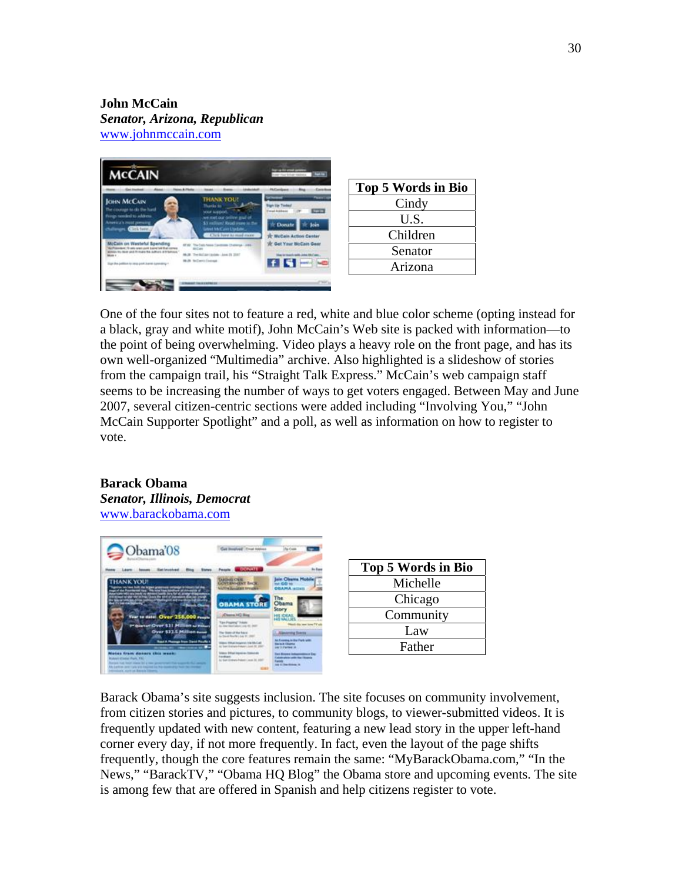# **John McCain**  *Senator, Arizona, Republican* www.johnmccain.com



| Top 5 Words in Bio |
|--------------------|
| Cindy              |
| U.S.               |
| Children           |
| Senator            |
| Arizona            |
|                    |

One of the four sites not to feature a red, white and blue color scheme (opting instead for a black, gray and white motif), John McCain's Web site is packed with information—to the point of being overwhelming. Video plays a heavy role on the front page, and has its own well-organized "Multimedia" archive. Also highlighted is a slideshow of stories from the campaign trail, his "Straight Talk Express." McCain's web campaign staff seems to be increasing the number of ways to get voters engaged. Between May and June 2007, several citizen-centric sections were added including "Involving You," "John McCain Supporter Spotlight" and a poll, as well as information on how to register to vote.

### **Barack Obama**  *Senator, Illinois, Democrat*  www.barackobama.com



Barack Obama's site suggests inclusion. The site focuses on community involvement, from citizen stories and pictures, to community blogs, to viewer-submitted videos. It is frequently updated with new content, featuring a new lead story in the upper left-hand corner every day, if not more frequently. In fact, even the layout of the page shifts frequently, though the core features remain the same: "MyBarackObama.com," "In the News," "BarackTV," "Obama HQ Blog" the Obama store and upcoming events. The site is among few that are offered in Spanish and help citizens register to vote.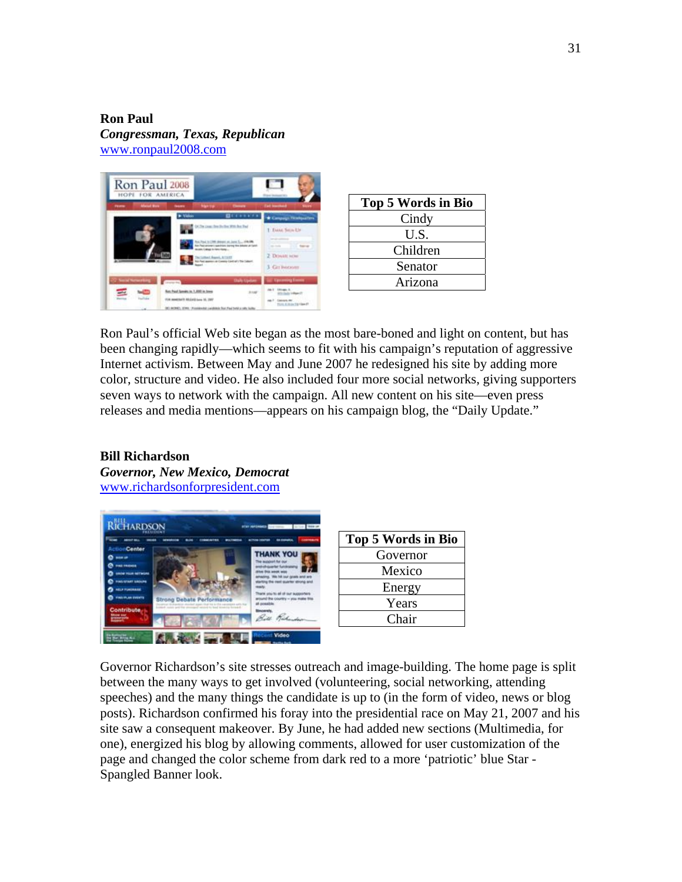**Ron Paul**  *Congressman, Texas, Republican*  www.ronpaul2008.com



| Top 5 Words in Bio |
|--------------------|
| Cindy              |
| U.S.               |
| Children           |
| Senator            |
| Arizona            |

Ron Paul's official Web site began as the most bare-boned and light on content, but has been changing rapidly—which seems to fit with his campaign's reputation of aggressive Internet activism. Between May and June 2007 he redesigned his site by adding more color, structure and video. He also included four more social networks, giving supporters seven ways to network with the campaign. All new content on his site—even press releases and media mentions—appears on his campaign blog, the "Daily Update."

### **Bill Richardson**  *Governor, New Mexico, Democrat*  www.richardsonforpresident.com



| Top 5 Words in Bio |
|--------------------|
| Governor           |
| Mexico             |
| Energy             |
| Years              |
| Chair              |

Governor Richardson's site stresses outreach and image-building. The home page is split between the many ways to get involved (volunteering, social networking, attending speeches) and the many things the candidate is up to (in the form of video, news or blog posts). Richardson confirmed his foray into the presidential race on May 21, 2007 and his site saw a consequent makeover. By June, he had added new sections (Multimedia, for one), energized his blog by allowing comments, allowed for user customization of the page and changed the color scheme from dark red to a more 'patriotic' blue Star - Spangled Banner look.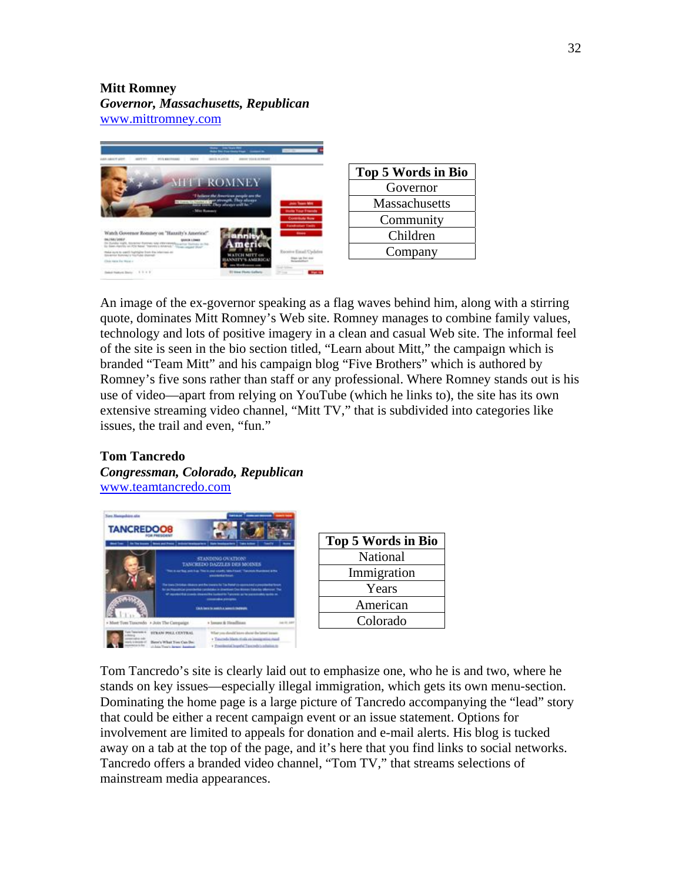# **Mitt Romney**

*Governor, Massachusetts, Republican*  www.mittromney.com



| <b>Top 5 Words in Bio</b> |
|---------------------------|
| Governor                  |
| Massachusetts             |
| Community                 |
| Children                  |
| Company                   |
|                           |

An image of the ex-governor speaking as a flag waves behind him, along with a stirring quote, dominates Mitt Romney's Web site. Romney manages to combine family values, technology and lots of positive imagery in a clean and casual Web site. The informal feel of the site is seen in the bio section titled, "Learn about Mitt," the campaign which is branded "Team Mitt" and his campaign blog "Five Brothers" which is authored by Romney's five sons rather than staff or any professional. Where Romney stands out is his use of video—apart from relying on YouTube (which he links to), the site has its own extensive streaming video channel, "Mitt TV," that is subdivided into categories like issues, the trail and even, "fun."

# **Tom Tancredo**  *Congressman, Colorado, Republican*  www.teamtancredo.com



| Top 5 Words in Bio |
|--------------------|
| National           |
| Immigration        |
| Years              |
| American           |
| Colorado           |
|                    |

Tom Tancredo's site is clearly laid out to emphasize one, who he is and two, where he stands on key issues—especially illegal immigration, which gets its own menu-section. Dominating the home page is a large picture of Tancredo accompanying the "lead" story that could be either a recent campaign event or an issue statement. Options for involvement are limited to appeals for donation and e-mail alerts. His blog is tucked away on a tab at the top of the page, and it's here that you find links to social networks. Tancredo offers a branded video channel, "Tom TV," that streams selections of mainstream media appearances.